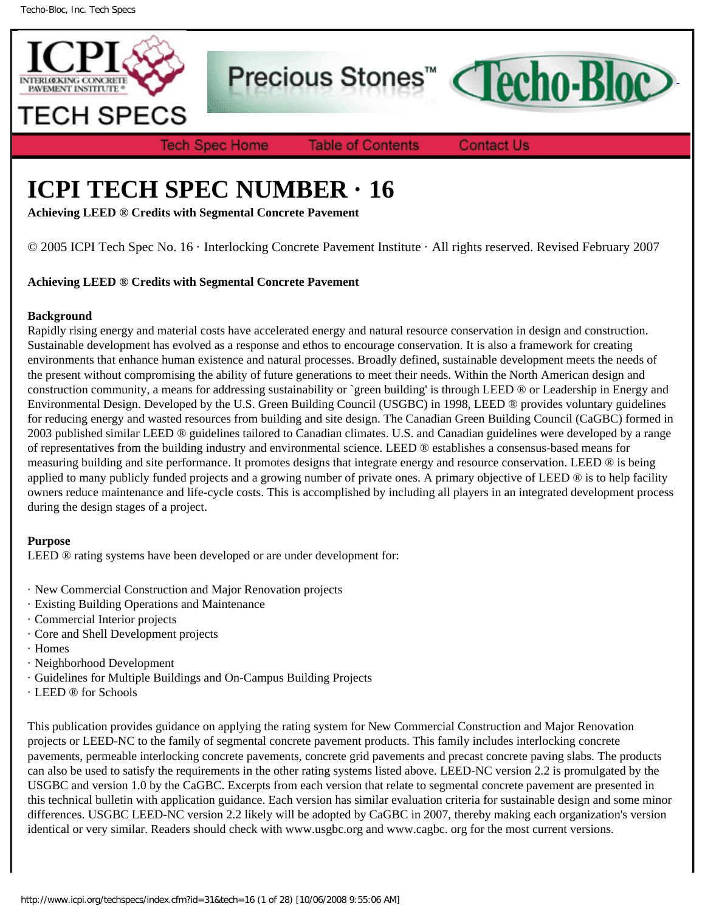

Precious Stones<sup>™</sup>



**Tech Spec Home** 

**Table of Contents** 

**Contact Us** 

# **ICPI TECH SPEC NUMBER · 16**

**Achieving LEED ® Credits with Segmental Concrete Pavement**

© 2005 ICPI Tech Spec No. 16 · Interlocking Concrete Pavement Institute · All rights reserved. Revised February 2007

# **Achieving LEED ® Credits with Segmental Concrete Pavement**

# **Background**

Rapidly rising energy and material costs have accelerated energy and natural resource conservation in design and construction. Sustainable development has evolved as a response and ethos to encourage conservation. It is also a framework for creating environments that enhance human existence and natural processes. Broadly defined, sustainable development meets the needs of the present without compromising the ability of future generations to meet their needs. Within the North American design and construction community, a means for addressing sustainability or `green building' is through LEED ® or Leadership in Energy and Environmental Design. Developed by the U.S. Green Building Council (USGBC) in 1998, LEED ® provides voluntary guidelines for reducing energy and wasted resources from building and site design. The Canadian Green Building Council (CaGBC) formed in 2003 published similar LEED ® guidelines tailored to Canadian climates. U.S. and Canadian guidelines were developed by a range of representatives from the building industry and environmental science. LEED ® establishes a consensus-based means for measuring building and site performance. It promotes designs that integrate energy and resource conservation. LEED ® is being applied to many publicly funded projects and a growing number of private ones. A primary objective of LEED ® is to help facility owners reduce maintenance and life-cycle costs. This is accomplished by including all players in an integrated development process during the design stages of a project.

# **Purpose**

LEED ® rating systems have been developed or are under development for:

- · New Commercial Construction and Major Renovation projects
- · Existing Building Operations and Maintenance
- · Commercial Interior projects
- · Core and Shell Development projects
- · Homes
- · Neighborhood Development
- · Guidelines for Multiple Buildings and On-Campus Building Projects
- · LEED ® for Schools

This publication provides guidance on applying the rating system for New Commercial Construction and Major Renovation projects or LEED-NC to the family of segmental concrete pavement products. This family includes interlocking concrete pavements, permeable interlocking concrete pavements, concrete grid pavements and precast concrete paving slabs. The products can also be used to satisfy the requirements in the other rating systems listed above. LEED-NC version 2.2 is promulgated by the USGBC and version 1.0 by the CaGBC. Excerpts from each version that relate to segmental concrete pavement are presented in this technical bulletin with application guidance. Each version has similar evaluation criteria for sustainable design and some minor differences. USGBC LEED-NC version 2.2 likely will be adopted by CaGBC in 2007, thereby making each organization's version identical or very similar. Readers should check with www.usgbc.org and www.cagbc. org for the most current versions.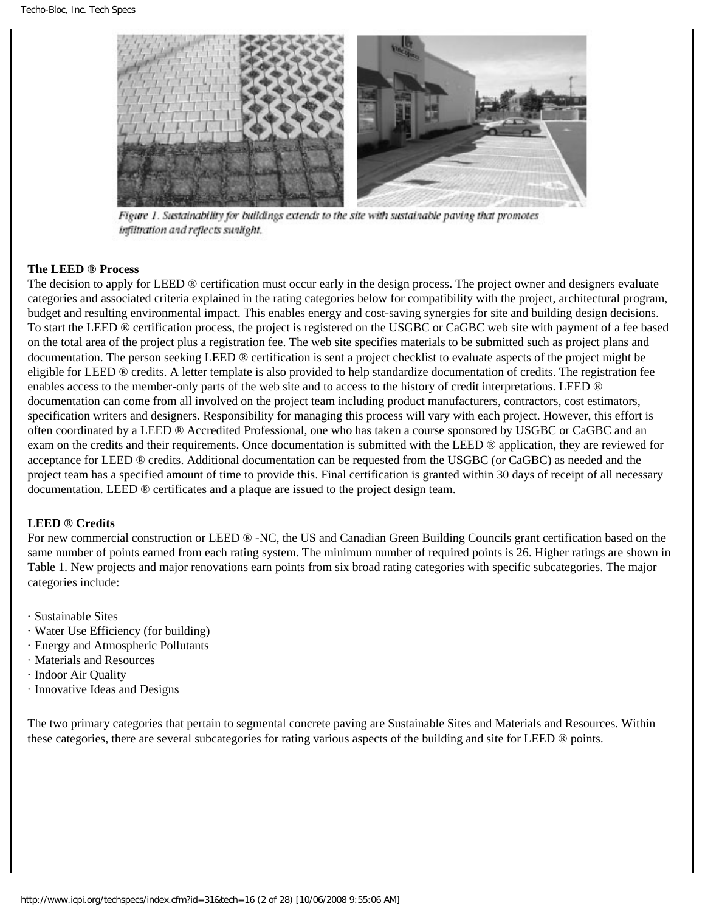

Figure 1. Sustainability for buildings extends to the site with sustainable paving that promotes infiltration and reflects sunlight.

#### **The LEED ® Process**

The decision to apply for LEED ® certification must occur early in the design process. The project owner and designers evaluate categories and associated criteria explained in the rating categories below for compatibility with the project, architectural program, budget and resulting environmental impact. This enables energy and cost-saving synergies for site and building design decisions. To start the LEED ® certification process, the project is registered on the USGBC or CaGBC web site with payment of a fee based on the total area of the project plus a registration fee. The web site specifies materials to be submitted such as project plans and documentation. The person seeking LEED ® certification is sent a project checklist to evaluate aspects of the project might be eligible for LEED ® credits. A letter template is also provided to help standardize documentation of credits. The registration fee enables access to the member-only parts of the web site and to access to the history of credit interpretations. LEED ® documentation can come from all involved on the project team including product manufacturers, contractors, cost estimators, specification writers and designers. Responsibility for managing this process will vary with each project. However, this effort is often coordinated by a LEED ® Accredited Professional, one who has taken a course sponsored by USGBC or CaGBC and an exam on the credits and their requirements. Once documentation is submitted with the LEED ® application, they are reviewed for acceptance for LEED ® credits. Additional documentation can be requested from the USGBC (or CaGBC) as needed and the project team has a specified amount of time to provide this. Final certification is granted within 30 days of receipt of all necessary documentation. LEED ® certificates and a plaque are issued to the project design team.

#### **LEED ® Credits**

For new commercial construction or LEED ® -NC, the US and Canadian Green Building Councils grant certification based on the same number of points earned from each rating system. The minimum number of required points is 26. Higher ratings are shown in Table 1. New projects and major renovations earn points from six broad rating categories with specific subcategories. The major categories include:

- · Sustainable Sites
- · Water Use Efficiency (for building)
- · Energy and Atmospheric Pollutants
- · Materials and Resources
- · Indoor Air Quality
- · Innovative Ideas and Designs

The two primary categories that pertain to segmental concrete paving are Sustainable Sites and Materials and Resources. Within these categories, there are several subcategories for rating various aspects of the building and site for LEED ® points.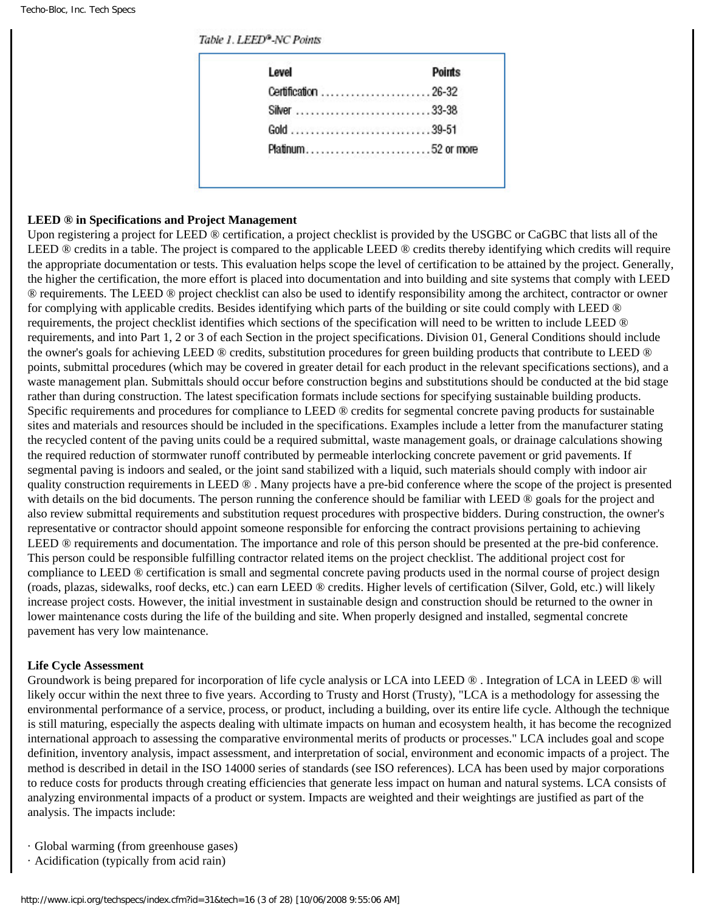#### Table 1. LEED®-NC Points

| Level<br>Points      |
|----------------------|
| Certification  26-32 |
|                      |
|                      |
| Platinum52 or more   |

#### **LEED ® in Specifications and Project Management**

Upon registering a project for LEED ® certification, a project checklist is provided by the USGBC or CaGBC that lists all of the LEED ® credits in a table. The project is compared to the applicable LEED ® credits thereby identifying which credits will require the appropriate documentation or tests. This evaluation helps scope the level of certification to be attained by the project. Generally, the higher the certification, the more effort is placed into documentation and into building and site systems that comply with LEED ® requirements. The LEED ® project checklist can also be used to identify responsibility among the architect, contractor or owner for complying with applicable credits. Besides identifying which parts of the building or site could comply with LEED ® requirements, the project checklist identifies which sections of the specification will need to be written to include LEED ® requirements, and into Part 1, 2 or 3 of each Section in the project specifications. Division 01, General Conditions should include the owner's goals for achieving LEED ® credits, substitution procedures for green building products that contribute to LEED ® points, submittal procedures (which may be covered in greater detail for each product in the relevant specifications sections), and a waste management plan. Submittals should occur before construction begins and substitutions should be conducted at the bid stage rather than during construction. The latest specification formats include sections for specifying sustainable building products. Specific requirements and procedures for compliance to LEED ® credits for segmental concrete paving products for sustainable sites and materials and resources should be included in the specifications. Examples include a letter from the manufacturer stating the recycled content of the paving units could be a required submittal, waste management goals, or drainage calculations showing the required reduction of stormwater runoff contributed by permeable interlocking concrete pavement or grid pavements. If segmental paving is indoors and sealed, or the joint sand stabilized with a liquid, such materials should comply with indoor air quality construction requirements in LEED ® . Many projects have a pre-bid conference where the scope of the project is presented with details on the bid documents. The person running the conference should be familiar with LEED ® goals for the project and also review submittal requirements and substitution request procedures with prospective bidders. During construction, the owner's representative or contractor should appoint someone responsible for enforcing the contract provisions pertaining to achieving LEED ® requirements and documentation. The importance and role of this person should be presented at the pre-bid conference. This person could be responsible fulfilling contractor related items on the project checklist. The additional project cost for compliance to LEED ® certification is small and segmental concrete paving products used in the normal course of project design (roads, plazas, sidewalks, roof decks, etc.) can earn LEED ® credits. Higher levels of certification (Silver, Gold, etc.) will likely increase project costs. However, the initial investment in sustainable design and construction should be returned to the owner in lower maintenance costs during the life of the building and site. When properly designed and installed, segmental concrete pavement has very low maintenance.

#### **Life Cycle Assessment**

Groundwork is being prepared for incorporation of life cycle analysis or LCA into LEED  $\circledR$ . Integration of LCA in LEED  $\circledR$  will likely occur within the next three to five years. According to Trusty and Horst (Trusty), "LCA is a methodology for assessing the environmental performance of a service, process, or product, including a building, over its entire life cycle. Although the technique is still maturing, especially the aspects dealing with ultimate impacts on human and ecosystem health, it has become the recognized international approach to assessing the comparative environmental merits of products or processes." LCA includes goal and scope definition, inventory analysis, impact assessment, and interpretation of social, environment and economic impacts of a project. The method is described in detail in the ISO 14000 series of standards (see ISO references). LCA has been used by major corporations to reduce costs for products through creating efficiencies that generate less impact on human and natural systems. LCA consists of analyzing environmental impacts of a product or system. Impacts are weighted and their weightings are justified as part of the analysis. The impacts include:

- · Global warming (from greenhouse gases)
- · Acidification (typically from acid rain)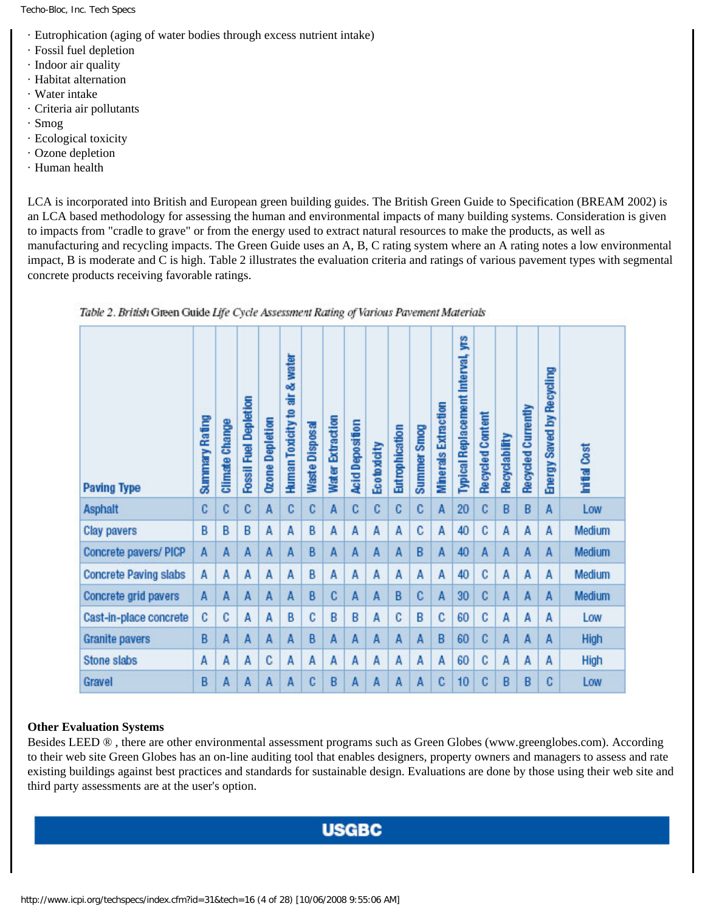- · Eutrophication (aging of water bodies through excess nutrient intake)
- · Fossil fuel depletion
- · Indoor air quality
- · Habitat alternation
- · Water intake
- · Criteria air pollutants
- · Smog
- · Ecological toxicity
- · Ozone depletion
- · Human health

LCA is incorporated into British and European green building guides. The British Green Guide to Specification (BREAM 2002) is an LCA based methodology for assessing the human and environmental impacts of many building systems. Consideration is given to impacts from "cradle to grave" or from the energy used to extract natural resources to make the products, as well as manufacturing and recycling impacts. The Green Guide uses an A, B, C rating system where an A rating notes a low environmental impact, B is moderate and C is high. Table 2 illustrates the evaluation criteria and ratings of various pavement types with segmental concrete products receiving favorable ratings.

| <b>Paving Type</b>           | <b>Summary Rating</b> | <b>Climate Change</b> | <b>Fossil Fuel Depletion</b> | <b>Ozone Depletion</b> | air & water<br><b>Human Toxicity to</b> | Waste Disposal | <b>Water Extraction</b> | Acid Deposition | <b>Ecotoxicity</b> | Eutrophication | <b>Summer Smog</b> | <b>Minerals Extraction</b> | yrs<br>Typical Replacement Interval, | Recycled Content | Recyclability | Recycled Currently | Energy Saved by Recycling | Cost<br>hital |
|------------------------------|-----------------------|-----------------------|------------------------------|------------------------|-----------------------------------------|----------------|-------------------------|-----------------|--------------------|----------------|--------------------|----------------------------|--------------------------------------|------------------|---------------|--------------------|---------------------------|---------------|
| <b>Asphalt</b>               | C                     | c                     | C.                           | A                      | $\mathbf{C}$                            | C              | $\overline{A}$          | C               | C                  | C              | C                  | A                          | 20                                   | C                | B             | B                  | A                         | Low           |
| <b>Clay pavers</b>           | B                     | B                     | B                            | A                      | A                                       | B              | A                       | A               | A                  | A              | C                  | A                          | 40                                   | C                | A             | A                  | A                         | Medium        |
| Concrete pavers/ PICP        | A                     | A                     | A                            | A                      | A                                       | B              | $\mathsf{A}$            | A               | A                  | A              | B                  | A                          | 40                                   | A                | A             | A                  | A                         | Medium        |
| <b>Concrete Paving slabs</b> | A                     | A                     | A                            | A                      | A                                       | B              | A                       | A               | A                  | A              | A                  | A                          | 40                                   | C                | A             | A                  | A                         | Medium        |
| Concrete grid pavers         | A                     | A                     | A                            | A                      | A                                       | B              | C                       | A               | A                  | B              | c                  | A                          | 30                                   | C                | A             | A                  | A                         | Medium        |
| Cast-in-place concrete       | c                     | C                     | A                            | A                      | B                                       | C              | B                       | B               | A                  | C              | B                  | C                          | 60                                   | C                | A             | A                  | A                         | Low           |
| <b>Granite pavers</b>        | B                     | A                     | A                            | A                      | A                                       | B              | A                       | A               | A                  | A              | A                  | B                          | 60                                   | C                | A             | A                  | A                         | High          |
| <b>Stone slabs</b>           | A                     | A                     | A                            | c                      | A                                       | A              | A                       | A               | A                  | A              | A                  | A                          | 60                                   | C                | A             | A                  | A                         | High          |
| Gravel                       | B                     | A                     | A                            | A                      | A                                       | C              | B                       | $\mathsf{A}$    | A                  | A              | A                  | C                          | 10                                   | C                | B             | B                  | c                         | Low           |

Table 2. British Green Guide Life Cycle Assessment Rating of Various Pavement Materials

# **Other Evaluation Systems**

Besides LEED ® , there are other environmental assessment programs such as Green Globes (www.greenglobes.com). According to their web site Green Globes has an on-line auditing tool that enables designers, property owners and managers to assess and rate existing buildings against best practices and standards for sustainable design. Evaluations are done by those using their web site and third party assessments are at the user's option.

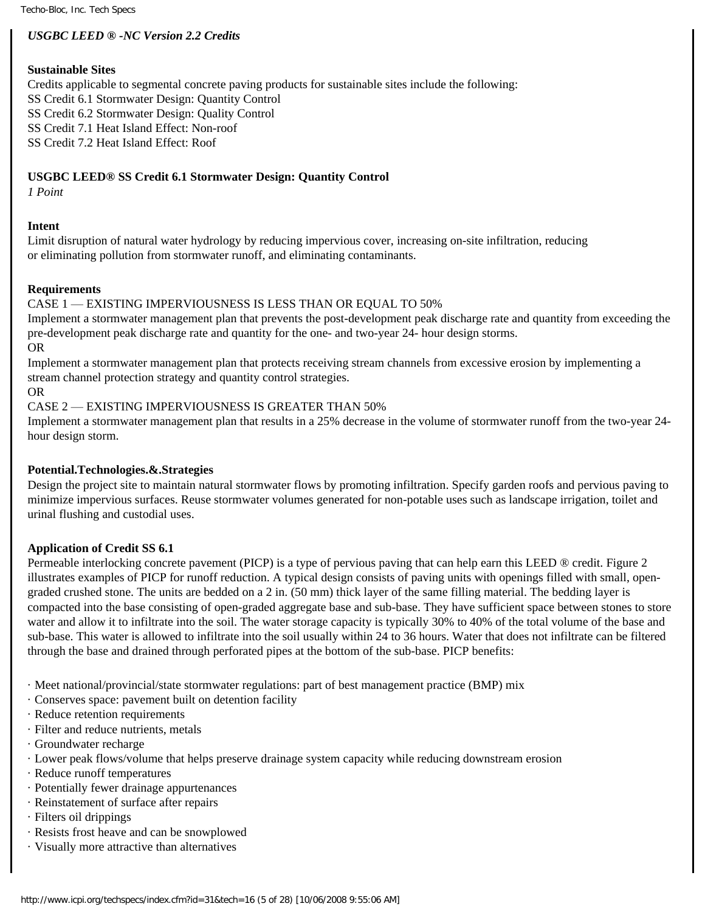# *USGBC LEED ® -NC Version 2.2 Credits*

#### **Sustainable Sites**

Credits applicable to segmental concrete paving products for sustainable sites include the following: SS Credit 6.1 Stormwater Design: Quantity Control SS Credit 6.2 Stormwater Design: Quality Control SS Credit 7.1 Heat Island Effect: Non-roof SS Credit 7.2 Heat Island Effect: Roof

# **USGBC LEED® SS Credit 6.1 Stormwater Design: Quantity Control**

*1 Point*

# **Intent**

Limit disruption of natural water hydrology by reducing impervious cover, increasing on-site infiltration, reducing or eliminating pollution from stormwater runoff, and eliminating contaminants.

#### **Requirements**

CASE 1 — EXISTING IMPERVIOUSNESS IS LESS THAN OR EQUAL TO 50%

Implement a stormwater management plan that prevents the post-development peak discharge rate and quantity from exceeding the pre-development peak discharge rate and quantity for the one- and two-year 24- hour design storms.

OR

Implement a stormwater management plan that protects receiving stream channels from excessive erosion by implementing a stream channel protection strategy and quantity control strategies.

OR

CASE 2 — EXISTING IMPERVIOUSNESS IS GREATER THAN 50%

Implement a stormwater management plan that results in a 25% decrease in the volume of stormwater runoff from the two-year 24 hour design storm.

#### **Potential.Technologies.&.Strategies**

Design the project site to maintain natural stormwater flows by promoting infiltration. Specify garden roofs and pervious paving to minimize impervious surfaces. Reuse stormwater volumes generated for non-potable uses such as landscape irrigation, toilet and urinal flushing and custodial uses.

#### **Application of Credit SS 6.1**

Permeable interlocking concrete pavement (PICP) is a type of pervious paving that can help earn this LEED ® credit. Figure 2 illustrates examples of PICP for runoff reduction. A typical design consists of paving units with openings filled with small, opengraded crushed stone. The units are bedded on a 2 in. (50 mm) thick layer of the same filling material. The bedding layer is compacted into the base consisting of open-graded aggregate base and sub-base. They have sufficient space between stones to store water and allow it to infiltrate into the soil. The water storage capacity is typically 30% to 40% of the total volume of the base and sub-base. This water is allowed to infiltrate into the soil usually within 24 to 36 hours. Water that does not infiltrate can be filtered through the base and drained through perforated pipes at the bottom of the sub-base. PICP benefits:

- · Meet national/provincial/state stormwater regulations: part of best management practice (BMP) mix
- · Conserves space: pavement built on detention facility
- · Reduce retention requirements
- · Filter and reduce nutrients, metals
- · Groundwater recharge
- · Lower peak flows/volume that helps preserve drainage system capacity while reducing downstream erosion
- · Reduce runoff temperatures
- · Potentially fewer drainage appurtenances
- · Reinstatement of surface after repairs
- · Filters oil drippings
- · Resists frost heave and can be snowplowed
- · Visually more attractive than alternatives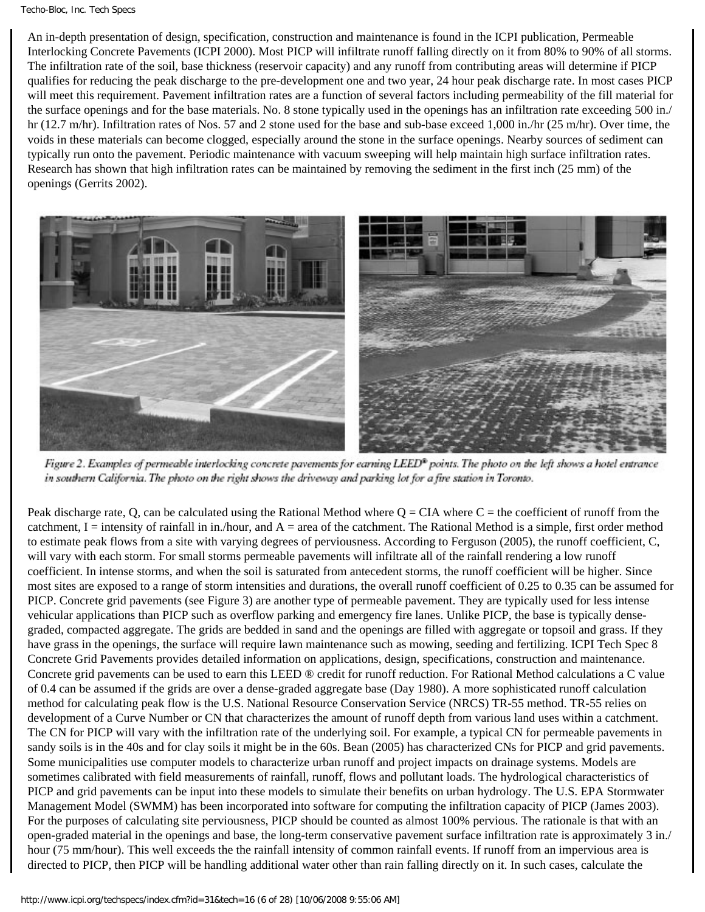An in-depth presentation of design, specification, construction and maintenance is found in the ICPI publication, Permeable Interlocking Concrete Pavements (ICPI 2000). Most PICP will infiltrate runoff falling directly on it from 80% to 90% of all storms. The infiltration rate of the soil, base thickness (reservoir capacity) and any runoff from contributing areas will determine if PICP qualifies for reducing the peak discharge to the pre-development one and two year, 24 hour peak discharge rate. In most cases PICP will meet this requirement. Pavement infiltration rates are a function of several factors including permeability of the fill material for the surface openings and for the base materials. No. 8 stone typically used in the openings has an infiltration rate exceeding 500 in./ hr (12.7 m/hr). Infiltration rates of Nos. 57 and 2 stone used for the base and sub-base exceed 1,000 in./hr (25 m/hr). Over time, the voids in these materials can become clogged, especially around the stone in the surface openings. Nearby sources of sediment can typically run onto the pavement. Periodic maintenance with vacuum sweeping will help maintain high surface infiltration rates. Research has shown that high infiltration rates can be maintained by removing the sediment in the first inch (25 mm) of the openings (Gerrits 2002).



Figure 2. Examples of permeable interlocking concrete pavements for earning LEED® points. The photo on the left shows a hotel entrance in southern California. The photo on the right shows the driveway and parking lot for a fire station in Toronto.

Peak discharge rate, Q, can be calculated using the Rational Method where  $Q = CIA$  where  $C =$  the coefficient of runoff from the catchment,  $I =$  intensity of rainfall in in./hour, and  $A =$  area of the catchment. The Rational Method is a simple, first order method to estimate peak flows from a site with varying degrees of perviousness. According to Ferguson (2005), the runoff coefficient, C, will vary with each storm. For small storms permeable pavements will infiltrate all of the rainfall rendering a low runoff coefficient. In intense storms, and when the soil is saturated from antecedent storms, the runoff coefficient will be higher. Since most sites are exposed to a range of storm intensities and durations, the overall runoff coefficient of 0.25 to 0.35 can be assumed for PICP. Concrete grid pavements (see Figure 3) are another type of permeable pavement. They are typically used for less intense vehicular applications than PICP such as overflow parking and emergency fire lanes. Unlike PICP, the base is typically densegraded, compacted aggregate. The grids are bedded in sand and the openings are filled with aggregate or topsoil and grass. If they have grass in the openings, the surface will require lawn maintenance such as mowing, seeding and fertilizing. ICPI Tech Spec 8 Concrete Grid Pavements provides detailed information on applications, design, specifications, construction and maintenance. Concrete grid pavements can be used to earn this LEED ® credit for runoff reduction. For Rational Method calculations a C value of 0.4 can be assumed if the grids are over a dense-graded aggregate base (Day 1980). A more sophisticated runoff calculation method for calculating peak flow is the U.S. National Resource Conservation Service (NRCS) TR-55 method. TR-55 relies on development of a Curve Number or CN that characterizes the amount of runoff depth from various land uses within a catchment. The CN for PICP will vary with the infiltration rate of the underlying soil. For example, a typical CN for permeable pavements in sandy soils is in the 40s and for clay soils it might be in the 60s. Bean (2005) has characterized CNs for PICP and grid pavements. Some municipalities use computer models to characterize urban runoff and project impacts on drainage systems. Models are sometimes calibrated with field measurements of rainfall, runoff, flows and pollutant loads. The hydrological characteristics of PICP and grid pavements can be input into these models to simulate their benefits on urban hydrology. The U.S. EPA Stormwater Management Model (SWMM) has been incorporated into software for computing the infiltration capacity of PICP (James 2003). For the purposes of calculating site perviousness, PICP should be counted as almost 100% pervious. The rationale is that with an open-graded material in the openings and base, the long-term conservative pavement surface infiltration rate is approximately 3 in./ hour (75 mm/hour). This well exceeds the the rainfall intensity of common rainfall events. If runoff from an impervious area is directed to PICP, then PICP will be handling additional water other than rain falling directly on it. In such cases, calculate the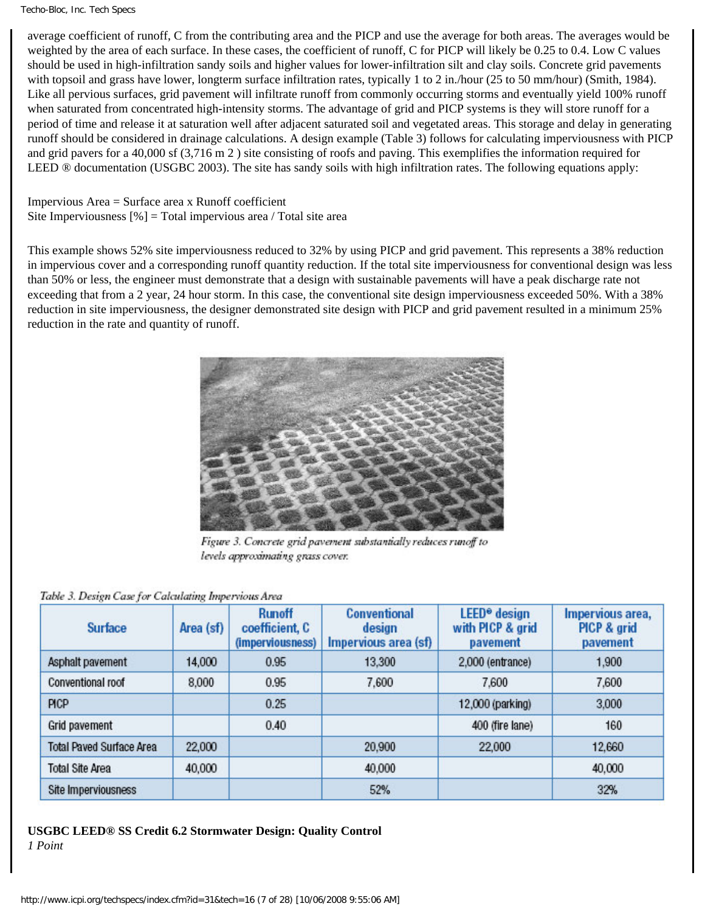average coefficient of runoff, C from the contributing area and the PICP and use the average for both areas. The averages would be weighted by the area of each surface. In these cases, the coefficient of runoff, C for PICP will likely be 0.25 to 0.4. Low C values should be used in high-infiltration sandy soils and higher values for lower-infiltration silt and clay soils. Concrete grid pavements with topsoil and grass have lower, longterm surface infiltration rates, typically 1 to 2 in./hour (25 to 50 mm/hour) (Smith, 1984). Like all pervious surfaces, grid pavement will infiltrate runoff from commonly occurring storms and eventually yield 100% runoff when saturated from concentrated high-intensity storms. The advantage of grid and PICP systems is they will store runoff for a period of time and release it at saturation well after adjacent saturated soil and vegetated areas. This storage and delay in generating runoff should be considered in drainage calculations. A design example (Table 3) follows for calculating imperviousness with PICP and grid pavers for a 40,000 sf (3,716 m 2 ) site consisting of roofs and paving. This exemplifies the information required for LEED ® documentation (USGBC 2003). The site has sandy soils with high infiltration rates. The following equations apply:

Impervious Area = Surface area x Runoff coefficient Site Imperviousness  $[\%]$  = Total impervious area / Total site area

This example shows 52% site imperviousness reduced to 32% by using PICP and grid pavement. This represents a 38% reduction in impervious cover and a corresponding runoff quantity reduction. If the total site imperviousness for conventional design was less than 50% or less, the engineer must demonstrate that a design with sustainable pavements will have a peak discharge rate not exceeding that from a 2 year, 24 hour storm. In this case, the conventional site design imperviousness exceeded 50%. With a 38% reduction in site imperviousness, the designer demonstrated site design with PICP and grid pavement resulted in a minimum 25% reduction in the rate and quantity of runoff.



Figure 3. Concrete grid pavement substantially reduces runoff to levels approximating grass cover.

#### Table 3. Design Case for Calculating Impervious Area

| <b>Surface</b>                  | Area (sf) | <b>Runoff</b><br>coefficient, C<br>(imperviousness) | <b>Conventional</b><br>design<br>Impervious area (sf) | LEED <sup>®</sup> design<br>with PICP & grid<br>pavement | Impervious area,<br>PICP & grid<br>pavement |
|---------------------------------|-----------|-----------------------------------------------------|-------------------------------------------------------|----------------------------------------------------------|---------------------------------------------|
| Asphalt pavement                | 14,000    | 0.95                                                | 13.300                                                | 2,000 (entrance)                                         | 1.900                                       |
| Conventional roof               | 8,000     | 0.95                                                | 7.600                                                 | 7.600                                                    | 7,600                                       |
| PICP                            |           | 0.25                                                |                                                       | 12,000 (parking)                                         | 3,000                                       |
| Grid pavement                   |           | 0.40                                                |                                                       | 400 (fire lane)                                          | 160                                         |
| <b>Total Paved Surface Area</b> | 22,000    |                                                     | 20,900                                                | 22,000                                                   | 12.660                                      |
| <b>Total Site Area</b>          | 40,000    |                                                     | 40,000                                                |                                                          | 40,000                                      |
| Site Imperviousness             |           |                                                     | 52%                                                   |                                                          | 32%                                         |

#### **USGBC LEED® SS Credit 6.2 Stormwater Design: Quality Control** *1 Point*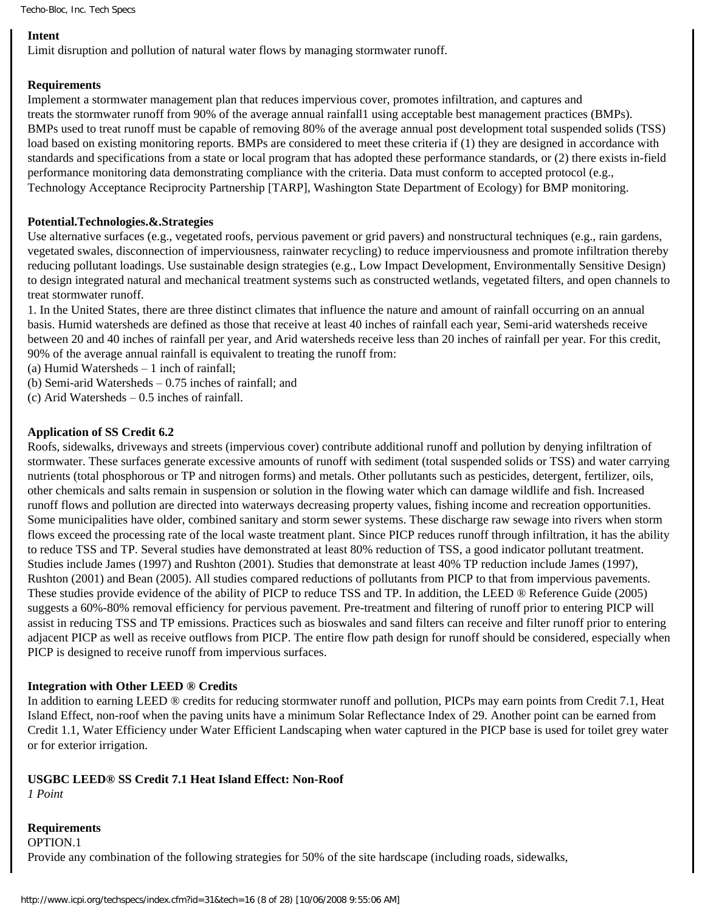# **Intent**

Limit disruption and pollution of natural water flows by managing stormwater runoff.

# **Requirements**

Implement a stormwater management plan that reduces impervious cover, promotes infiltration, and captures and treats the stormwater runoff from 90% of the average annual rainfall1 using acceptable best management practices (BMPs). BMPs used to treat runoff must be capable of removing 80% of the average annual post development total suspended solids (TSS) load based on existing monitoring reports. BMPs are considered to meet these criteria if (1) they are designed in accordance with standards and specifications from a state or local program that has adopted these performance standards, or (2) there exists in-field performance monitoring data demonstrating compliance with the criteria. Data must conform to accepted protocol (e.g., Technology Acceptance Reciprocity Partnership [TARP], Washington State Department of Ecology) for BMP monitoring.

# **Potential.Technologies.&.Strategies**

Use alternative surfaces (e.g., vegetated roofs, pervious pavement or grid pavers) and nonstructural techniques (e.g., rain gardens, vegetated swales, disconnection of imperviousness, rainwater recycling) to reduce imperviousness and promote infiltration thereby reducing pollutant loadings. Use sustainable design strategies (e.g., Low Impact Development, Environmentally Sensitive Design) to design integrated natural and mechanical treatment systems such as constructed wetlands, vegetated filters, and open channels to treat stormwater runoff.

1. In the United States, there are three distinct climates that influence the nature and amount of rainfall occurring on an annual basis. Humid watersheds are defined as those that receive at least 40 inches of rainfall each year, Semi-arid watersheds receive between 20 and 40 inches of rainfall per year, and Arid watersheds receive less than 20 inches of rainfall per year. For this credit, 90% of the average annual rainfall is equivalent to treating the runoff from:

(a) Humid Watersheds – 1 inch of rainfall;

(b) Semi-arid Watersheds – 0.75 inches of rainfall; and

(c) Arid Watersheds – 0.5 inches of rainfall.

# **Application of SS Credit 6.2**

Roofs, sidewalks, driveways and streets (impervious cover) contribute additional runoff and pollution by denying infiltration of stormwater. These surfaces generate excessive amounts of runoff with sediment (total suspended solids or TSS) and water carrying nutrients (total phosphorous or TP and nitrogen forms) and metals. Other pollutants such as pesticides, detergent, fertilizer, oils, other chemicals and salts remain in suspension or solution in the flowing water which can damage wildlife and fish. Increased runoff flows and pollution are directed into waterways decreasing property values, fishing income and recreation opportunities. Some municipalities have older, combined sanitary and storm sewer systems. These discharge raw sewage into rivers when storm flows exceed the processing rate of the local waste treatment plant. Since PICP reduces runoff through infiltration, it has the ability to reduce TSS and TP. Several studies have demonstrated at least 80% reduction of TSS, a good indicator pollutant treatment. Studies include James (1997) and Rushton (2001). Studies that demonstrate at least 40% TP reduction include James (1997), Rushton (2001) and Bean (2005). All studies compared reductions of pollutants from PICP to that from impervious pavements. These studies provide evidence of the ability of PICP to reduce TSS and TP. In addition, the LEED ® Reference Guide (2005) suggests a 60%-80% removal efficiency for pervious pavement. Pre-treatment and filtering of runoff prior to entering PICP will assist in reducing TSS and TP emissions. Practices such as bioswales and sand filters can receive and filter runoff prior to entering adjacent PICP as well as receive outflows from PICP. The entire flow path design for runoff should be considered, especially when PICP is designed to receive runoff from impervious surfaces.

#### **Integration with Other LEED ® Credits**

In addition to earning LEED ® credits for reducing stormwater runoff and pollution, PICPs may earn points from Credit 7.1, Heat Island Effect, non-roof when the paving units have a minimum Solar Reflectance Index of 29. Another point can be earned from Credit 1.1, Water Efficiency under Water Efficient Landscaping when water captured in the PICP base is used for toilet grey water or for exterior irrigation.

# **USGBC LEED® SS Credit 7.1 Heat Island Effect: Non-Roof**

*1 Point*

**Requirements** OPTION.1 Provide any combination of the following strategies for 50% of the site hardscape (including roads, sidewalks,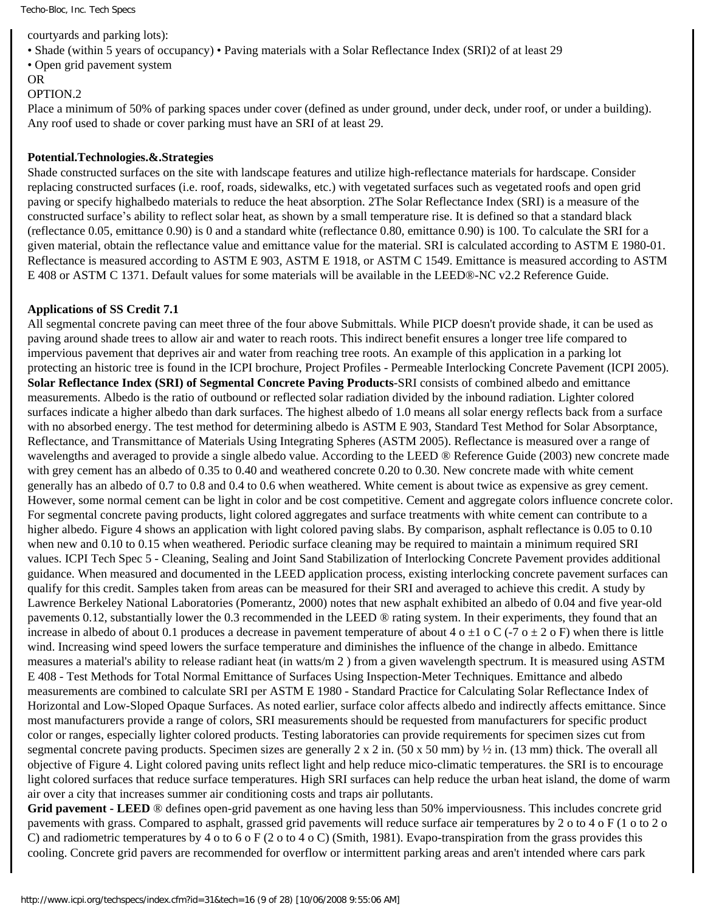courtyards and parking lots):

• Shade (within 5 years of occupancy) • Paving materials with a Solar Reflectance Index (SRI)2 of at least 29

• Open grid pavement system

OR

#### OPTION.2

Place a minimum of 50% of parking spaces under cover (defined as under ground, under deck, under roof, or under a building). Any roof used to shade or cover parking must have an SRI of at least 29.

#### **Potential.Technologies.&.Strategies**

Shade constructed surfaces on the site with landscape features and utilize high-reflectance materials for hardscape. Consider replacing constructed surfaces (i.e. roof, roads, sidewalks, etc.) with vegetated surfaces such as vegetated roofs and open grid paving or specify highalbedo materials to reduce the heat absorption. 2The Solar Reflectance Index (SRI) is a measure of the constructed surface's ability to reflect solar heat, as shown by a small temperature rise. It is defined so that a standard black (reflectance 0.05, emittance 0.90) is 0 and a standard white (reflectance 0.80, emittance 0.90) is 100. To calculate the SRI for a given material, obtain the reflectance value and emittance value for the material. SRI is calculated according to ASTM E 1980-01. Reflectance is measured according to ASTM E 903, ASTM E 1918, or ASTM C 1549. Emittance is measured according to ASTM E 408 or ASTM C 1371. Default values for some materials will be available in the LEED®-NC v2.2 Reference Guide.

#### **Applications of SS Credit 7.1**

All segmental concrete paving can meet three of the four above Submittals. While PICP doesn't provide shade, it can be used as paving around shade trees to allow air and water to reach roots. This indirect benefit ensures a longer tree life compared to impervious pavement that deprives air and water from reaching tree roots. An example of this application in a parking lot protecting an historic tree is found in the ICPI brochure, Project Profiles - Permeable Interlocking Concrete Pavement (ICPI 2005). **Solar Reflectance Index (SRI) of Segmental Concrete Paving Products**-SRI consists of combined albedo and emittance measurements. Albedo is the ratio of outbound or reflected solar radiation divided by the inbound radiation. Lighter colored surfaces indicate a higher albedo than dark surfaces. The highest albedo of 1.0 means all solar energy reflects back from a surface with no absorbed energy. The test method for determining albedo is ASTM E 903, Standard Test Method for Solar Absorptance, Reflectance, and Transmittance of Materials Using Integrating Spheres (ASTM 2005). Reflectance is measured over a range of wavelengths and averaged to provide a single albedo value. According to the LEED ® Reference Guide (2003) new concrete made with grey cement has an albedo of 0.35 to 0.40 and weathered concrete 0.20 to 0.30. New concrete made with white cement generally has an albedo of 0.7 to 0.8 and 0.4 to 0.6 when weathered. White cement is about twice as expensive as grey cement. However, some normal cement can be light in color and be cost competitive. Cement and aggregate colors influence concrete color. For segmental concrete paving products, light colored aggregates and surface treatments with white cement can contribute to a higher albedo. Figure 4 shows an application with light colored paving slabs. By comparison, asphalt reflectance is 0.05 to 0.10 when new and 0.10 to 0.15 when weathered. Periodic surface cleaning may be required to maintain a minimum required SRI values. ICPI Tech Spec 5 - Cleaning, Sealing and Joint Sand Stabilization of Interlocking Concrete Pavement provides additional guidance. When measured and documented in the LEED application process, existing interlocking concrete pavement surfaces can qualify for this credit. Samples taken from areas can be measured for their SRI and averaged to achieve this credit. A study by Lawrence Berkeley National Laboratories (Pomerantz, 2000) notes that new asphalt exhibited an albedo of 0.04 and five year-old pavements 0.12, substantially lower the 0.3 recommended in the LEED ® rating system. In their experiments, they found that an increase in albedo of about 0.1 produces a decrease in pavement temperature of about 4 o  $\pm$ 1 o C (-7 o  $\pm$  2 o F) when there is little wind. Increasing wind speed lowers the surface temperature and diminishes the influence of the change in albedo. Emittance measures a material's ability to release radiant heat (in watts/m 2 ) from a given wavelength spectrum. It is measured using ASTM E 408 - Test Methods for Total Normal Emittance of Surfaces Using Inspection-Meter Techniques. Emittance and albedo measurements are combined to calculate SRI per ASTM E 1980 - Standard Practice for Calculating Solar Reflectance Index of Horizontal and Low-Sloped Opaque Surfaces. As noted earlier, surface color affects albedo and indirectly affects emittance. Since most manufacturers provide a range of colors, SRI measurements should be requested from manufacturers for specific product color or ranges, especially lighter colored products. Testing laboratories can provide requirements for specimen sizes cut from segmental concrete paving products. Specimen sizes are generally  $2 \times 2$  in. (50 x 50 mm) by  $\frac{1}{2}$  in. (13 mm) thick. The overall all objective of Figure 4. Light colored paving units reflect light and help reduce mico-climatic temperatures. the SRI is to encourage light colored surfaces that reduce surface temperatures. High SRI surfaces can help reduce the urban heat island, the dome of warm air over a city that increases summer air conditioning costs and traps air pollutants.

**Grid pavement - LEED** ® defines open-grid pavement as one having less than 50% imperviousness. This includes concrete grid pavements with grass. Compared to asphalt, grassed grid pavements will reduce surface air temperatures by 2 o to 4 o F (1 o to 2 o C) and radiometric temperatures by 4 o to 6 o F (2 o to 4 o C) (Smith, 1981). Evapo-transpiration from the grass provides this cooling. Concrete grid pavers are recommended for overflow or intermittent parking areas and aren't intended where cars park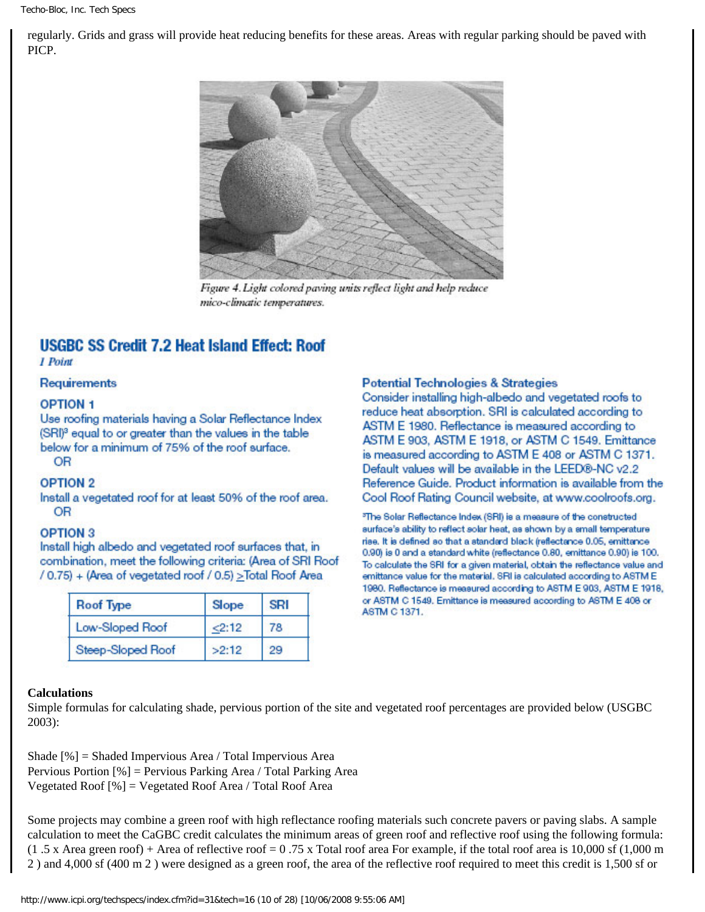regularly. Grids and grass will provide heat reducing benefits for these areas. Areas with regular parking should be paved with PICP.



Figure 4. Light colored paving units reflect light and help reduce mico-climatic temperatures.

# **USGBC SS Credit 7.2 Heat Island Effect: Roof**

1 Point

**Requirements** 

#### **OPTION 1**

Use roofing materials having a Solar Reflectance Index (SRI)<sup>3</sup> equal to or greater than the values in the table below for a minimum of 75% of the roof surface. **OR** 

#### **OPTION 2**

Install a vegetated roof for at least 50% of the roof area. OR

#### **OPTION 3**

Install high albedo and vegetated roof surfaces that, in combination, meet the following criteria: (Area of SRI Roof / 0.75) + (Area of vegetated roof / 0.5) > Total Roof Area

| <b>Roof Type</b>  | Slope | <b>SRI</b> |
|-------------------|-------|------------|
| Low-Sloped Roof   | 2:12  | 78         |
| Steep-Sloped Roof | >2:12 | 29         |

#### **Potential Technologies & Strategies**

Consider installing high-albedo and vegetated roofs to reduce heat absorption. SRI is calculated according to ASTM E 1980. Reflectance is measured according to ASTM E 903, ASTM E 1918, or ASTM C 1549. Emittance is measured according to ASTM E 408 or ASTM C 1371. Default values will be available in the LEED®-NC v2.2 Reference Guide, Product information is available from the Cool Roof Rating Council website, at www.coolroofs.org.

<sup>3</sup>The Solar Reflectance Index (SRI) is a measure of the constructed aurface's ability to reflect solar heat, as shown by a small temperature rise. It is defined so that a standard black (reflectance 0.05, emittance 0.90) is 0 and a standard white (reflectance 0.80, emittance 0.90) is 100. To calculate the SRI for a given material, obtain the reflectance value and emittance value for the material. SRI is calculated according to ASTM E 1980. Reflectance is measured according to ASTM E 903, ASTM E 1918, or ASTM C 1549. Emittance is measured according to ASTM E 408 or ASTM C 1371.

#### **Calculations**

Simple formulas for calculating shade, pervious portion of the site and vegetated roof percentages are provided below (USGBC 2003):

Shade [%] = Shaded Impervious Area / Total Impervious Area Pervious Portion [%] = Pervious Parking Area / Total Parking Area Vegetated Roof [%] = Vegetated Roof Area / Total Roof Area

Some projects may combine a green roof with high reflectance roofing materials such concrete pavers or paving slabs. A sample calculation to meet the CaGBC credit calculates the minimum areas of green roof and reflective roof using the following formula:  $(1.5 \text{ x Area green roof})$  + Area of reflective roof = 0.75 x Total roof area For example, if the total roof area is 10,000 sf  $(1,000 \text{ m})$ 2 ) and 4,000 sf (400 m 2 ) were designed as a green roof, the area of the reflective roof required to meet this credit is 1,500 sf or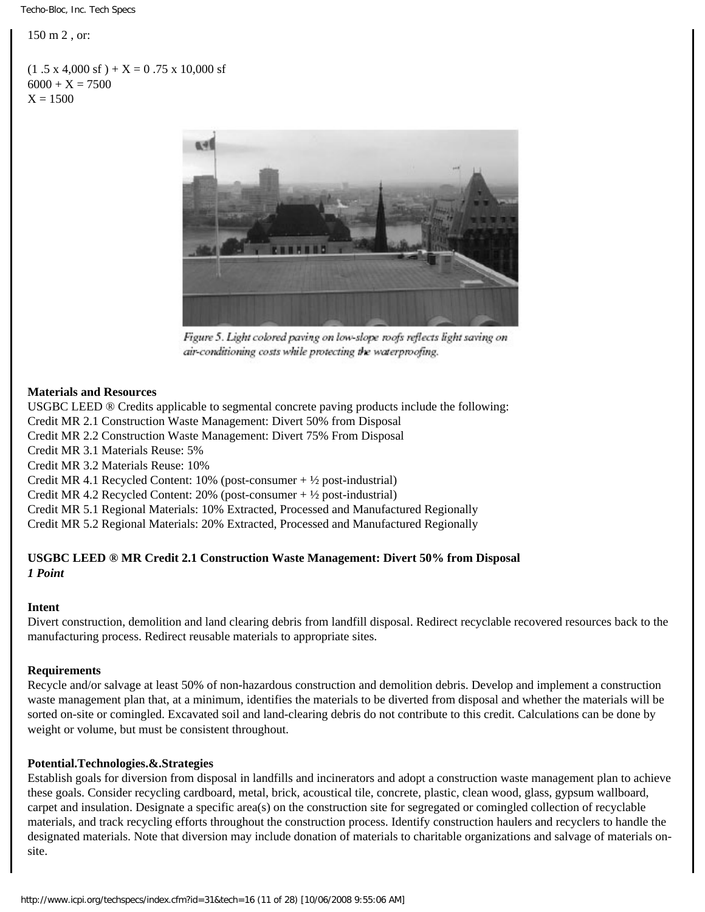150 m 2 , or:

 $(1.5 \times 4,000 \text{ sf}) + X = 0.75 \times 10,000 \text{ sf}$  $6000 + X = 7500$  $X = 1500$ 



Figure 5. Light colored paving on low-slope roofs reflects light saving on air-conditioning costs while protecting the waterproofing.

#### **Materials and Resources**

USGBC LEED ® Credits applicable to segmental concrete paving products include the following: Credit MR 2.1 Construction Waste Management: Divert 50% from Disposal Credit MR 2.2 Construction Waste Management: Divert 75% From Disposal Credit MR 3.1 Materials Reuse: 5% Credit MR 3.2 Materials Reuse: 10% Credit MR 4.1 Recycled Content: 10% (post-consumer + ½ post-industrial)

Credit MR 4.2 Recycled Content: 20% (post-consumer  $+ \frac{1}{2}$  post-industrial)

Credit MR 5.1 Regional Materials: 10% Extracted, Processed and Manufactured Regionally

Credit MR 5.2 Regional Materials: 20% Extracted, Processed and Manufactured Regionally

# **USGBC LEED ® MR Credit 2.1 Construction Waste Management: Divert 50% from Disposal** *1 Point*

#### **Intent**

Divert construction, demolition and land clearing debris from landfill disposal. Redirect recyclable recovered resources back to the manufacturing process. Redirect reusable materials to appropriate sites.

#### **Requirements**

Recycle and/or salvage at least 50% of non-hazardous construction and demolition debris. Develop and implement a construction waste management plan that, at a minimum, identifies the materials to be diverted from disposal and whether the materials will be sorted on-site or comingled. Excavated soil and land-clearing debris do not contribute to this credit. Calculations can be done by weight or volume, but must be consistent throughout.

#### **Potential.Technologies.&.Strategies**

Establish goals for diversion from disposal in landfills and incinerators and adopt a construction waste management plan to achieve these goals. Consider recycling cardboard, metal, brick, acoustical tile, concrete, plastic, clean wood, glass, gypsum wallboard, carpet and insulation. Designate a specific area(s) on the construction site for segregated or comingled collection of recyclable materials, and track recycling efforts throughout the construction process. Identify construction haulers and recyclers to handle the designated materials. Note that diversion may include donation of materials to charitable organizations and salvage of materials onsite.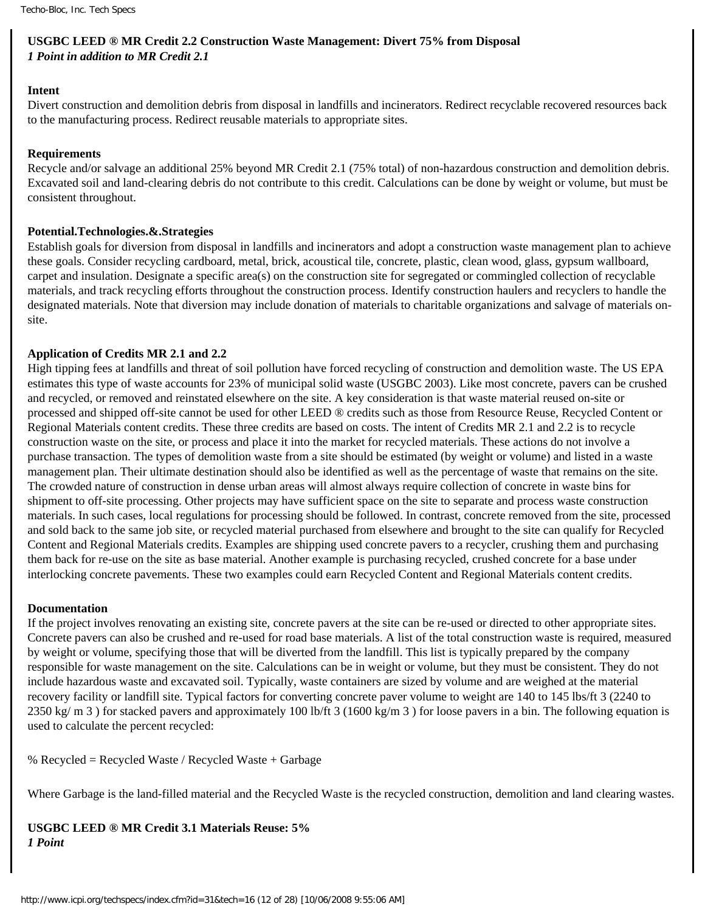# **USGBC LEED ® MR Credit 2.2 Construction Waste Management: Divert 75% from Disposal** *1 Point in addition to MR Credit 2.1*

#### **Intent**

Divert construction and demolition debris from disposal in landfills and incinerators. Redirect recyclable recovered resources back to the manufacturing process. Redirect reusable materials to appropriate sites.

#### **Requirements**

Recycle and/or salvage an additional 25% beyond MR Credit 2.1 (75% total) of non-hazardous construction and demolition debris. Excavated soil and land-clearing debris do not contribute to this credit. Calculations can be done by weight or volume, but must be consistent throughout.

#### **Potential.Technologies.&.Strategies**

Establish goals for diversion from disposal in landfills and incinerators and adopt a construction waste management plan to achieve these goals. Consider recycling cardboard, metal, brick, acoustical tile, concrete, plastic, clean wood, glass, gypsum wallboard, carpet and insulation. Designate a specific area(s) on the construction site for segregated or commingled collection of recyclable materials, and track recycling efforts throughout the construction process. Identify construction haulers and recyclers to handle the designated materials. Note that diversion may include donation of materials to charitable organizations and salvage of materials onsite.

#### **Application of Credits MR 2.1 and 2.2**

High tipping fees at landfills and threat of soil pollution have forced recycling of construction and demolition waste. The US EPA estimates this type of waste accounts for 23% of municipal solid waste (USGBC 2003). Like most concrete, pavers can be crushed and recycled, or removed and reinstated elsewhere on the site. A key consideration is that waste material reused on-site or processed and shipped off-site cannot be used for other LEED ® credits such as those from Resource Reuse, Recycled Content or Regional Materials content credits. These three credits are based on costs. The intent of Credits MR 2.1 and 2.2 is to recycle construction waste on the site, or process and place it into the market for recycled materials. These actions do not involve a purchase transaction. The types of demolition waste from a site should be estimated (by weight or volume) and listed in a waste management plan. Their ultimate destination should also be identified as well as the percentage of waste that remains on the site. The crowded nature of construction in dense urban areas will almost always require collection of concrete in waste bins for shipment to off-site processing. Other projects may have sufficient space on the site to separate and process waste construction materials. In such cases, local regulations for processing should be followed. In contrast, concrete removed from the site, processed and sold back to the same job site, or recycled material purchased from elsewhere and brought to the site can qualify for Recycled Content and Regional Materials credits. Examples are shipping used concrete pavers to a recycler, crushing them and purchasing them back for re-use on the site as base material. Another example is purchasing recycled, crushed concrete for a base under interlocking concrete pavements. These two examples could earn Recycled Content and Regional Materials content credits.

#### **Documentation**

If the project involves renovating an existing site, concrete pavers at the site can be re-used or directed to other appropriate sites. Concrete pavers can also be crushed and re-used for road base materials. A list of the total construction waste is required, measured by weight or volume, specifying those that will be diverted from the landfill. This list is typically prepared by the company responsible for waste management on the site. Calculations can be in weight or volume, but they must be consistent. They do not include hazardous waste and excavated soil. Typically, waste containers are sized by volume and are weighed at the material recovery facility or landfill site. Typical factors for converting concrete paver volume to weight are 140 to 145 lbs/ft 3 (2240 to 2350 kg/ m 3 ) for stacked pavers and approximately 100 lb/ft 3 (1600 kg/m 3 ) for loose pavers in a bin. The following equation is used to calculate the percent recycled:

% Recycled = Recycled Waste / Recycled Waste + Garbage

Where Garbage is the land-filled material and the Recycled Waste is the recycled construction, demolition and land clearing wastes.

**USGBC LEED ® MR Credit 3.1 Materials Reuse: 5%**  *1 Point*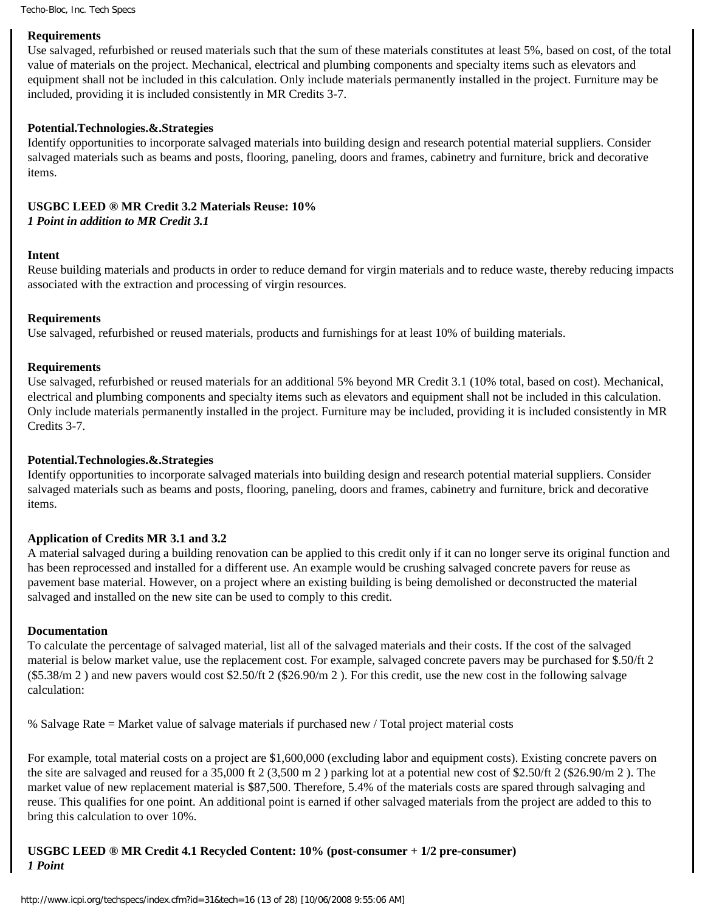#### **Requirements**

Use salvaged, refurbished or reused materials such that the sum of these materials constitutes at least 5%, based on cost, of the total value of materials on the project. Mechanical, electrical and plumbing components and specialty items such as elevators and equipment shall not be included in this calculation. Only include materials permanently installed in the project. Furniture may be included, providing it is included consistently in MR Credits 3-7.

#### **Potential.Technologies.&.Strategies**

Identify opportunities to incorporate salvaged materials into building design and research potential material suppliers. Consider salvaged materials such as beams and posts, flooring, paneling, doors and frames, cabinetry and furniture, brick and decorative items.

# **USGBC LEED ® MR Credit 3.2 Materials Reuse: 10%**  *1 Point in addition to MR Credit 3.1*

#### **Intent**

Reuse building materials and products in order to reduce demand for virgin materials and to reduce waste, thereby reducing impacts associated with the extraction and processing of virgin resources.

#### **Requirements**

Use salvaged, refurbished or reused materials, products and furnishings for at least 10% of building materials.

#### **Requirements**

Use salvaged, refurbished or reused materials for an additional 5% beyond MR Credit 3.1 (10% total, based on cost). Mechanical, electrical and plumbing components and specialty items such as elevators and equipment shall not be included in this calculation. Only include materials permanently installed in the project. Furniture may be included, providing it is included consistently in MR Credits 3-7.

#### **Potential.Technologies.&.Strategies**

Identify opportunities to incorporate salvaged materials into building design and research potential material suppliers. Consider salvaged materials such as beams and posts, flooring, paneling, doors and frames, cabinetry and furniture, brick and decorative items.

#### **Application of Credits MR 3.1 and 3.2**

A material salvaged during a building renovation can be applied to this credit only if it can no longer serve its original function and has been reprocessed and installed for a different use. An example would be crushing salvaged concrete pavers for reuse as pavement base material. However, on a project where an existing building is being demolished or deconstructed the material salvaged and installed on the new site can be used to comply to this credit.

#### **Documentation**

To calculate the percentage of salvaged material, list all of the salvaged materials and their costs. If the cost of the salvaged material is below market value, use the replacement cost. For example, salvaged concrete pavers may be purchased for \$.50/ft 2  $(\$5.38/m 2)$  and new pavers would cost  $\$2.50/f1 2 (\$26.90/m 2)$ . For this credit, use the new cost in the following salvage calculation:

% Salvage Rate = Market value of salvage materials if purchased new / Total project material costs

For example, total material costs on a project are \$1,600,000 (excluding labor and equipment costs). Existing concrete pavers on the site are salvaged and reused for a 35,000 ft 2 (3,500 m 2 ) parking lot at a potential new cost of \$2.50/ft 2 (\$26.90/m 2 ). The market value of new replacement material is \$87,500. Therefore, 5.4% of the materials costs are spared through salvaging and reuse. This qualifies for one point. An additional point is earned if other salvaged materials from the project are added to this to bring this calculation to over 10%.

# **USGBC LEED ® MR Credit 4.1 Recycled Content: 10% (post-consumer + 1/2 pre-consumer)** *1 Point*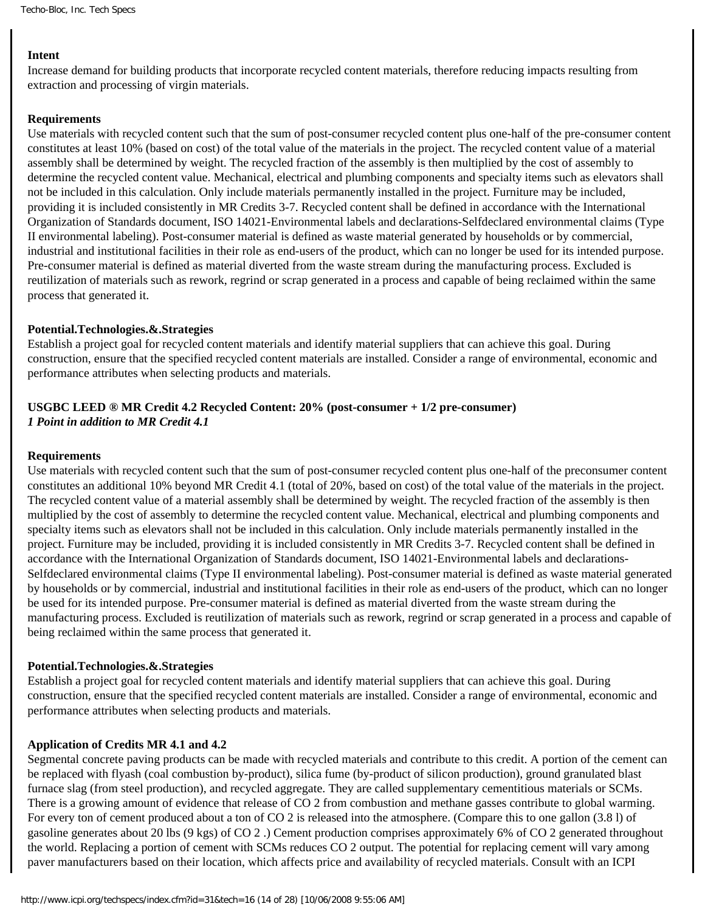#### **Intent**

Increase demand for building products that incorporate recycled content materials, therefore reducing impacts resulting from extraction and processing of virgin materials.

#### **Requirements**

Use materials with recycled content such that the sum of post-consumer recycled content plus one-half of the pre-consumer content constitutes at least 10% (based on cost) of the total value of the materials in the project. The recycled content value of a material assembly shall be determined by weight. The recycled fraction of the assembly is then multiplied by the cost of assembly to determine the recycled content value. Mechanical, electrical and plumbing components and specialty items such as elevators shall not be included in this calculation. Only include materials permanently installed in the project. Furniture may be included, providing it is included consistently in MR Credits 3-7. Recycled content shall be defined in accordance with the International Organization of Standards document, ISO 14021-Environmental labels and declarations-Selfdeclared environmental claims (Type II environmental labeling). Post-consumer material is defined as waste material generated by households or by commercial, industrial and institutional facilities in their role as end-users of the product, which can no longer be used for its intended purpose. Pre-consumer material is defined as material diverted from the waste stream during the manufacturing process. Excluded is reutilization of materials such as rework, regrind or scrap generated in a process and capable of being reclaimed within the same process that generated it.

#### **Potential.Technologies.&.Strategies**

Establish a project goal for recycled content materials and identify material suppliers that can achieve this goal. During construction, ensure that the specified recycled content materials are installed. Consider a range of environmental, economic and performance attributes when selecting products and materials.

#### **USGBC LEED ® MR Credit 4.2 Recycled Content: 20% (post-consumer + 1/2 pre-consumer)** *1 Point in addition to MR Credit 4.1*

#### **Requirements**

Use materials with recycled content such that the sum of post-consumer recycled content plus one-half of the preconsumer content constitutes an additional 10% beyond MR Credit 4.1 (total of 20%, based on cost) of the total value of the materials in the project. The recycled content value of a material assembly shall be determined by weight. The recycled fraction of the assembly is then multiplied by the cost of assembly to determine the recycled content value. Mechanical, electrical and plumbing components and specialty items such as elevators shall not be included in this calculation. Only include materials permanently installed in the project. Furniture may be included, providing it is included consistently in MR Credits 3-7. Recycled content shall be defined in accordance with the International Organization of Standards document, ISO 14021-Environmental labels and declarations-Selfdeclared environmental claims (Type II environmental labeling). Post-consumer material is defined as waste material generated by households or by commercial, industrial and institutional facilities in their role as end-users of the product, which can no longer be used for its intended purpose. Pre-consumer material is defined as material diverted from the waste stream during the manufacturing process. Excluded is reutilization of materials such as rework, regrind or scrap generated in a process and capable of being reclaimed within the same process that generated it.

#### **Potential.Technologies.&.Strategies**

Establish a project goal for recycled content materials and identify material suppliers that can achieve this goal. During construction, ensure that the specified recycled content materials are installed. Consider a range of environmental, economic and performance attributes when selecting products and materials.

#### **Application of Credits MR 4.1 and 4.2**

Segmental concrete paving products can be made with recycled materials and contribute to this credit. A portion of the cement can be replaced with flyash (coal combustion by-product), silica fume (by-product of silicon production), ground granulated blast furnace slag (from steel production), and recycled aggregate. They are called supplementary cementitious materials or SCMs. There is a growing amount of evidence that release of CO 2 from combustion and methane gasses contribute to global warming. For every ton of cement produced about a ton of CO 2 is released into the atmosphere. (Compare this to one gallon  $(3.8 \text{ l})$  of gasoline generates about 20 lbs (9 kgs) of CO 2 .) Cement production comprises approximately 6% of CO 2 generated throughout the world. Replacing a portion of cement with SCMs reduces CO 2 output. The potential for replacing cement will vary among paver manufacturers based on their location, which affects price and availability of recycled materials. Consult with an ICPI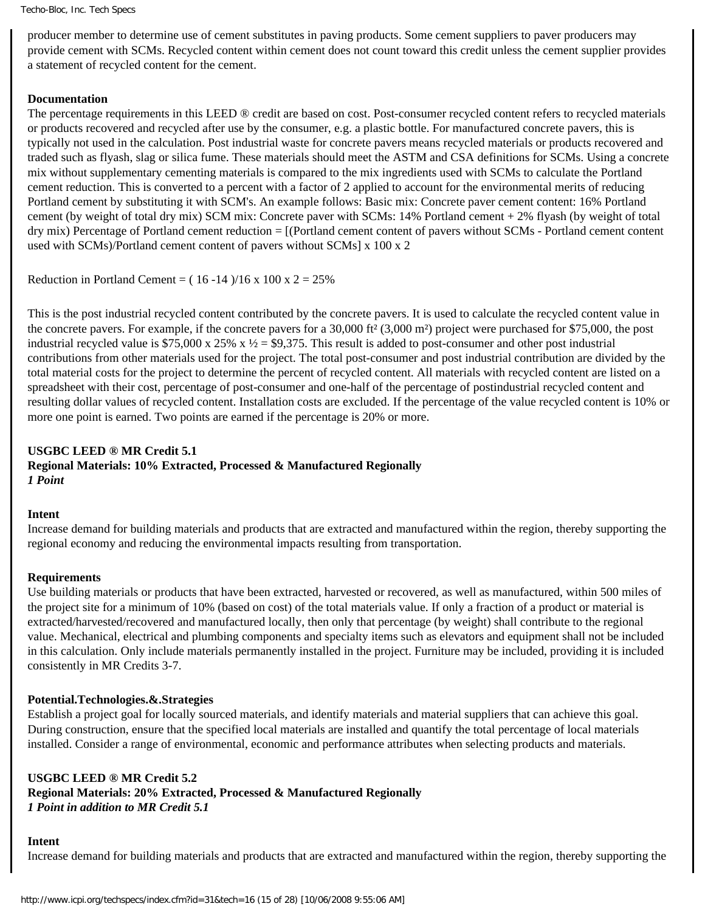producer member to determine use of cement substitutes in paving products. Some cement suppliers to paver producers may provide cement with SCMs. Recycled content within cement does not count toward this credit unless the cement supplier provides a statement of recycled content for the cement.

#### **Documentation**

The percentage requirements in this LEED ® credit are based on cost. Post-consumer recycled content refers to recycled materials or products recovered and recycled after use by the consumer, e.g. a plastic bottle. For manufactured concrete pavers, this is typically not used in the calculation. Post industrial waste for concrete pavers means recycled materials or products recovered and traded such as flyash, slag or silica fume. These materials should meet the ASTM and CSA definitions for SCMs. Using a concrete mix without supplementary cementing materials is compared to the mix ingredients used with SCMs to calculate the Portland cement reduction. This is converted to a percent with a factor of 2 applied to account for the environmental merits of reducing Portland cement by substituting it with SCM's. An example follows: Basic mix: Concrete paver cement content: 16% Portland cement (by weight of total dry mix) SCM mix: Concrete paver with SCMs: 14% Portland cement + 2% flyash (by weight of total dry mix) Percentage of Portland cement reduction = [(Portland cement content of pavers without SCMs - Portland cement content used with SCMs)/Portland cement content of pavers without SCMs] x 100 x 2

Reduction in Portland Cement =  $(16 -14)/16 \times 100 \times 2 = 25\%$ 

This is the post industrial recycled content contributed by the concrete pavers. It is used to calculate the recycled content value in the concrete pavers. For example, if the concrete pavers for a 30,000 ft² (3,000 m²) project were purchased for \$75,000, the post industrial recycled value is \$75,000 x 25% x  $\frac{1}{2}$  = \$9,375. This result is added to post-consumer and other post industrial contributions from other materials used for the project. The total post-consumer and post industrial contribution are divided by the total material costs for the project to determine the percent of recycled content. All materials with recycled content are listed on a spreadsheet with their cost, percentage of post-consumer and one-half of the percentage of postindustrial recycled content and resulting dollar values of recycled content. Installation costs are excluded. If the percentage of the value recycled content is 10% or more one point is earned. Two points are earned if the percentage is 20% or more.

# **USGBC LEED ® MR Credit 5.1 Regional Materials: 10% Extracted, Processed & Manufactured Regionally**  *1 Point*

#### **Intent**

Increase demand for building materials and products that are extracted and manufactured within the region, thereby supporting the regional economy and reducing the environmental impacts resulting from transportation.

#### **Requirements**

Use building materials or products that have been extracted, harvested or recovered, as well as manufactured, within 500 miles of the project site for a minimum of 10% (based on cost) of the total materials value. If only a fraction of a product or material is extracted/harvested/recovered and manufactured locally, then only that percentage (by weight) shall contribute to the regional value. Mechanical, electrical and plumbing components and specialty items such as elevators and equipment shall not be included in this calculation. Only include materials permanently installed in the project. Furniture may be included, providing it is included consistently in MR Credits 3-7.

#### **Potential.Technologies.&.Strategies**

Establish a project goal for locally sourced materials, and identify materials and material suppliers that can achieve this goal. During construction, ensure that the specified local materials are installed and quantify the total percentage of local materials installed. Consider a range of environmental, economic and performance attributes when selecting products and materials.

# **USGBC LEED ® MR Credit 5.2**

**Regional Materials: 20% Extracted, Processed & Manufactured Regionally** *1 Point in addition to MR Credit 5.1*

#### **Intent**

Increase demand for building materials and products that are extracted and manufactured within the region, thereby supporting the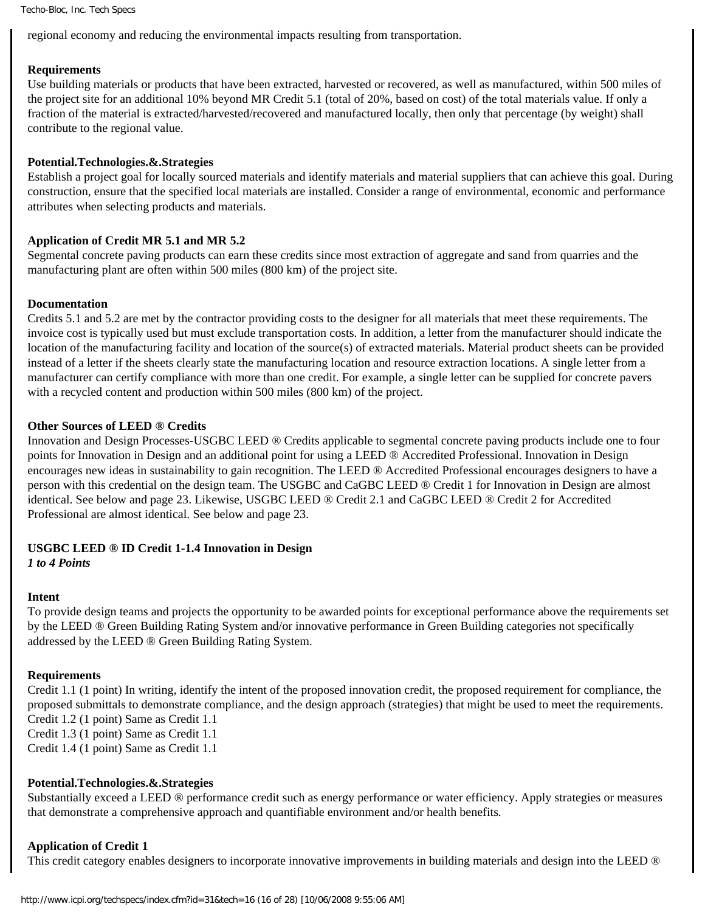regional economy and reducing the environmental impacts resulting from transportation.

#### **Requirements**

Use building materials or products that have been extracted, harvested or recovered, as well as manufactured, within 500 miles of the project site for an additional 10% beyond MR Credit 5.1 (total of 20%, based on cost) of the total materials value. If only a fraction of the material is extracted/harvested/recovered and manufactured locally, then only that percentage (by weight) shall contribute to the regional value.

#### **Potential.Technologies.&.Strategies**

Establish a project goal for locally sourced materials and identify materials and material suppliers that can achieve this goal. During construction, ensure that the specified local materials are installed. Consider a range of environmental, economic and performance attributes when selecting products and materials.

#### **Application of Credit MR 5.1 and MR 5.2**

Segmental concrete paving products can earn these credits since most extraction of aggregate and sand from quarries and the manufacturing plant are often within 500 miles (800 km) of the project site.

#### **Documentation**

Credits 5.1 and 5.2 are met by the contractor providing costs to the designer for all materials that meet these requirements. The invoice cost is typically used but must exclude transportation costs. In addition, a letter from the manufacturer should indicate the location of the manufacturing facility and location of the source(s) of extracted materials. Material product sheets can be provided instead of a letter if the sheets clearly state the manufacturing location and resource extraction locations. A single letter from a manufacturer can certify compliance with more than one credit. For example, a single letter can be supplied for concrete pavers with a recycled content and production within 500 miles (800 km) of the project.

#### **Other Sources of LEED** *®* **Credits**

Innovation and Design Processes-USGBC LEED ® Credits applicable to segmental concrete paving products include one to four points for Innovation in Design and an additional point for using a LEED ® Accredited Professional. Innovation in Design encourages new ideas in sustainability to gain recognition. The LEED ® Accredited Professional encourages designers to have a person with this credential on the design team. The USGBC and CaGBC LEED ® Credit 1 for Innovation in Design are almost identical. See below and page 23. Likewise, USGBC LEED ® Credit 2.1 and CaGBC LEED ® Credit 2 for Accredited Professional are almost identical. See below and page 23.

#### **USGBC LEED ® ID Credit 1-1.4 Innovation in Design**

*1 to 4 Points*

#### **Intent**

To provide design teams and projects the opportunity to be awarded points for exceptional performance above the requirements set by the LEED ® Green Building Rating System and/or innovative performance in Green Building categories not specifically addressed by the LEED ® Green Building Rating System.

#### **Requirements**

Credit 1.1 (1 point) In writing, identify the intent of the proposed innovation credit, the proposed requirement for compliance, the proposed submittals to demonstrate compliance, and the design approach (strategies) that might be used to meet the requirements. Credit 1.2 (1 point) Same as Credit 1.1

Credit 1.3 (1 point) Same as Credit 1.1

Credit 1.4 (1 point) Same as Credit 1.1

# **Potential.Technologies.&.Strategies**

Substantially exceed a LEED ® performance credit such as energy performance or water efficiency. Apply strategies or measures that demonstrate a comprehensive approach and quantifiable environment and/or health benefits*.*

#### **Application of Credit 1**

This credit category enables designers to incorporate innovative improvements in building materials and design into the LEED ®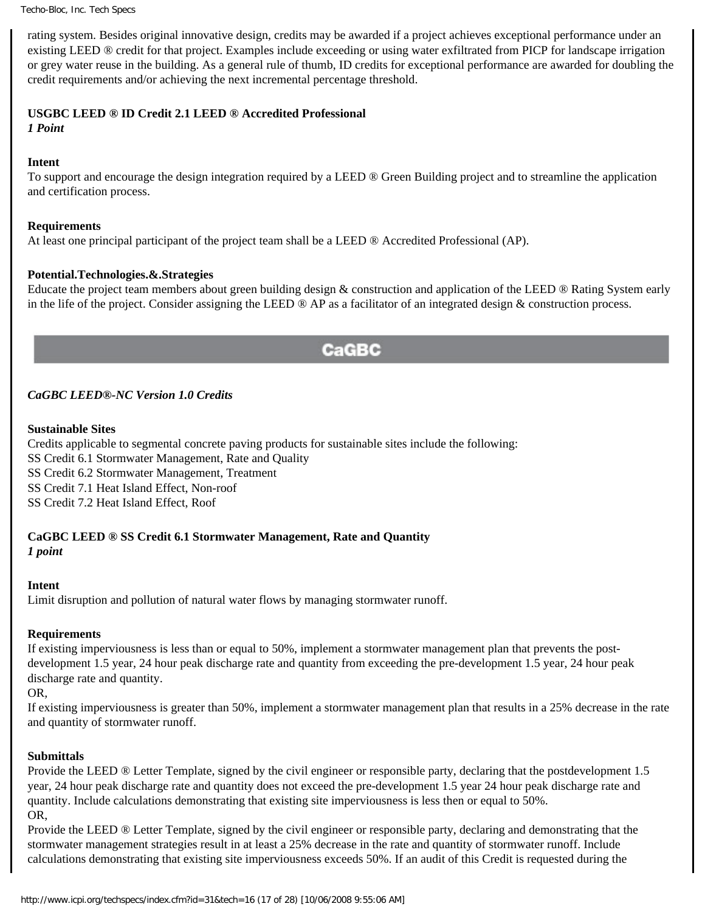rating system. Besides original innovative design, credits may be awarded if a project achieves exceptional performance under an existing LEED ® credit for that project. Examples include exceeding or using water exfiltrated from PICP for landscape irrigation or grey water reuse in the building. As a general rule of thumb, ID credits for exceptional performance are awarded for doubling the credit requirements and/or achieving the next incremental percentage threshold.

# **USGBC LEED ® ID Credit 2.1 LEED ® Accredited Professional**

*1 Point*

# **Intent**

To support and encourage the design integration required by a LEED ® Green Building project and to streamline the application and certification process.

#### **Requirements**

At least one principal participant of the project team shall be a LEED ® Accredited Professional (AP).

# **Potential.Technologies.&.Strategies**

Educate the project team members about green building design & construction and application of the LEED ® Rating System early in the life of the project. Consider assigning the LEED  $\circledast$  AP as a facilitator of an integrated design  $\&$  construction process.

# CaGBC

# *CaGBC LEED®-NC Version 1.0 Credits*

#### **Sustainable Sites**

Credits applicable to segmental concrete paving products for sustainable sites include the following: SS Credit 6.1 Stormwater Management, Rate and Quality SS Credit 6.2 Stormwater Management, Treatment SS Credit 7.1 Heat Island Effect, Non-roof SS Credit 7.2 Heat Island Effect, Roof

# **CaGBC LEED ® SS Credit 6.1 Stormwater Management, Rate and Quantity**

*1 point*

# **Intent**

Limit disruption and pollution of natural water flows by managing stormwater runoff.

# **Requirements**

If existing imperviousness is less than or equal to 50%, implement a stormwater management plan that prevents the postdevelopment 1.5 year, 24 hour peak discharge rate and quantity from exceeding the pre-development 1.5 year, 24 hour peak discharge rate and quantity.

#### OR*,*

If existing imperviousness is greater than 50%, implement a stormwater management plan that results in a 25% decrease in the rate and quantity of stormwater runoff.

#### **Submittals**

Provide the LEED ® Letter Template, signed by the civil engineer or responsible party, declaring that the postdevelopment 1.5 year, 24 hour peak discharge rate and quantity does not exceed the pre-development 1.5 year 24 hour peak discharge rate and quantity. Include calculations demonstrating that existing site imperviousness is less then or equal to 50%. OR,

Provide the LEED ® Letter Template, signed by the civil engineer or responsible party, declaring and demonstrating that the stormwater management strategies result in at least a 25% decrease in the rate and quantity of stormwater runoff. Include calculations demonstrating that existing site imperviousness exceeds 50%. If an audit of this Credit is requested during the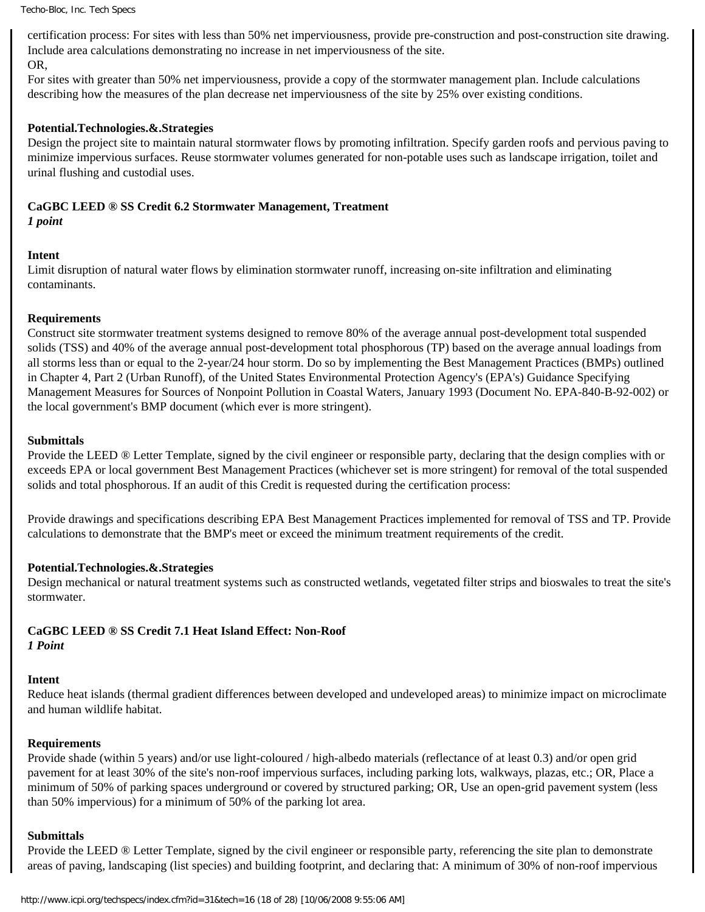certification process: For sites with less than 50% net imperviousness, provide pre-construction and post-construction site drawing. Include area calculations demonstrating no increase in net imperviousness of the site. OR,

For sites with greater than 50% net imperviousness, provide a copy of the stormwater management plan. Include calculations describing how the measures of the plan decrease net imperviousness of the site by 25% over existing conditions.

#### **Potential.Technologies.&.Strategies**

Design the project site to maintain natural stormwater flows by promoting infiltration. Specify garden roofs and pervious paving to minimize impervious surfaces. Reuse stormwater volumes generated for non-potable uses such as landscape irrigation, toilet and urinal flushing and custodial uses.

# **CaGBC LEED ® SS Credit 6.2 Stormwater Management, Treatment**

# *1 point*

#### **Intent**

Limit disruption of natural water flows by elimination stormwater runoff, increasing on-site infiltration and eliminating contaminants.

#### **Requirements**

Construct site stormwater treatment systems designed to remove 80% of the average annual post-development total suspended solids (TSS) and 40% of the average annual post-development total phosphorous (TP) based on the average annual loadings from all storms less than or equal to the 2-year/24 hour storm. Do so by implementing the Best Management Practices (BMPs) outlined in Chapter 4, Part 2 (Urban Runoff), of the United States Environmental Protection Agency's (EPA's) Guidance Specifying Management Measures for Sources of Nonpoint Pollution in Coastal Waters, January 1993 (Document No. EPA-840-B-92-002) or the local government's BMP document (which ever is more stringent).

#### **Submittals**

Provide the LEED ® Letter Template, signed by the civil engineer or responsible party, declaring that the design complies with or exceeds EPA or local government Best Management Practices (whichever set is more stringent) for removal of the total suspended solids and total phosphorous. If an audit of this Credit is requested during the certification process:

Provide drawings and specifications describing EPA Best Management Practices implemented for removal of TSS and TP. Provide calculations to demonstrate that the BMP's meet or exceed the minimum treatment requirements of the credit.

#### **Potential.Technologies.&.Strategies**

Design mechanical or natural treatment systems such as constructed wetlands, vegetated filter strips and bioswales to treat the site's stormwater.

#### **CaGBC LEED ® SS Credit 7.1 Heat Island Effect: Non-Roof** *1 Point*

#### **Intent**

Reduce heat islands (thermal gradient differences between developed and undeveloped areas) to minimize impact on microclimate and human wildlife habitat.

#### **Requirements**

Provide shade (within 5 years) and/or use light-coloured / high-albedo materials (reflectance of at least 0.3) and/or open grid pavement for at least 30% of the site's non-roof impervious surfaces, including parking lots, walkways, plazas, etc.; OR, Place a minimum of 50% of parking spaces underground or covered by structured parking; OR, Use an open-grid pavement system (less than 50% impervious) for a minimum of 50% of the parking lot area.

#### **Submittals**

Provide the LEED ® Letter Template, signed by the civil engineer or responsible party, referencing the site plan to demonstrate areas of paving, landscaping (list species) and building footprint, and declaring that: A minimum of 30% of non-roof impervious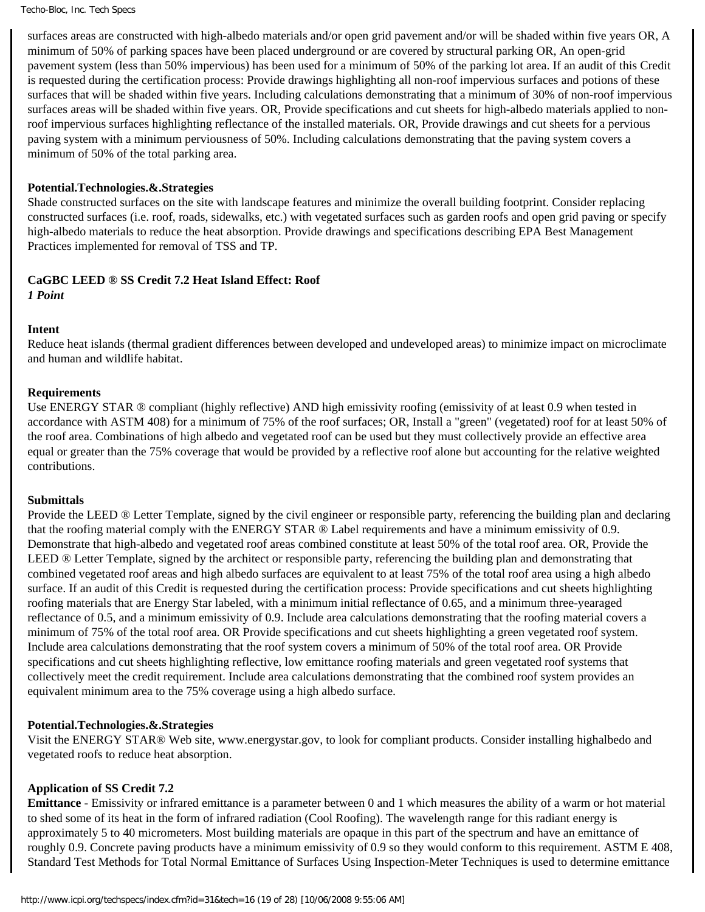surfaces areas are constructed with high-albedo materials and/or open grid pavement and/or will be shaded within five years OR, A minimum of 50% of parking spaces have been placed underground or are covered by structural parking OR, An open-grid pavement system (less than 50% impervious) has been used for a minimum of 50% of the parking lot area. If an audit of this Credit is requested during the certification process: Provide drawings highlighting all non-roof impervious surfaces and potions of these surfaces that will be shaded within five years. Including calculations demonstrating that a minimum of 30% of non-roof impervious surfaces areas will be shaded within five years. OR, Provide specifications and cut sheets for high-albedo materials applied to nonroof impervious surfaces highlighting reflectance of the installed materials. OR, Provide drawings and cut sheets for a pervious paving system with a minimum perviousness of 50%. Including calculations demonstrating that the paving system covers a minimum of 50% of the total parking area.

#### **Potential.Technologies.&.Strategies**

Shade constructed surfaces on the site with landscape features and minimize the overall building footprint. Consider replacing constructed surfaces (i.e. roof, roads, sidewalks, etc.) with vegetated surfaces such as garden roofs and open grid paving or specify high-albedo materials to reduce the heat absorption. Provide drawings and specifications describing EPA Best Management Practices implemented for removal of TSS and TP.

#### **CaGBC LEED ® SS Credit 7.2 Heat Island Effect: Roof**

*1 Point*

#### **Intent**

Reduce heat islands (thermal gradient differences between developed and undeveloped areas) to minimize impact on microclimate and human and wildlife habitat.

#### **Requirements**

Use ENERGY STAR ® compliant (highly reflective) AND high emissivity roofing (emissivity of at least 0.9 when tested in accordance with ASTM 408) for a minimum of 75% of the roof surfaces; OR, Install a "green" (vegetated) roof for at least 50% of the roof area. Combinations of high albedo and vegetated roof can be used but they must collectively provide an effective area equal or greater than the 75% coverage that would be provided by a reflective roof alone but accounting for the relative weighted contributions.

#### **Submittals**

Provide the LEED ® Letter Template, signed by the civil engineer or responsible party, referencing the building plan and declaring that the roofing material comply with the ENERGY STAR ® Label requirements and have a minimum emissivity of 0.9. Demonstrate that high-albedo and vegetated roof areas combined constitute at least 50% of the total roof area. OR, Provide the LEED ® Letter Template, signed by the architect or responsible party, referencing the building plan and demonstrating that combined vegetated roof areas and high albedo surfaces are equivalent to at least 75% of the total roof area using a high albedo surface. If an audit of this Credit is requested during the certification process: Provide specifications and cut sheets highlighting roofing materials that are Energy Star labeled, with a minimum initial reflectance of 0.65, and a minimum three-yearaged reflectance of 0.5, and a minimum emissivity of 0.9. Include area calculations demonstrating that the roofing material covers a minimum of 75% of the total roof area. OR Provide specifications and cut sheets highlighting a green vegetated roof system. Include area calculations demonstrating that the roof system covers a minimum of 50% of the total roof area. OR Provide specifications and cut sheets highlighting reflective, low emittance roofing materials and green vegetated roof systems that collectively meet the credit requirement. Include area calculations demonstrating that the combined roof system provides an equivalent minimum area to the 75% coverage using a high albedo surface.

#### **Potential.Technologies.&.Strategies**

Visit the ENERGY STAR® Web site, www.energystar.gov, to look for compliant products. Consider installing highalbedo and vegetated roofs to reduce heat absorption.

#### **Application of SS Credit 7.2**

**Emittance** - Emissivity or infrared emittance is a parameter between 0 and 1 which measures the ability of a warm or hot material to shed some of its heat in the form of infrared radiation (Cool Roofing). The wavelength range for this radiant energy is approximately 5 to 40 micrometers. Most building materials are opaque in this part of the spectrum and have an emittance of roughly 0.9. Concrete paving products have a minimum emissivity of 0.9 so they would conform to this requirement. ASTM E 408, Standard Test Methods for Total Normal Emittance of Surfaces Using Inspection-Meter Techniques is used to determine emittance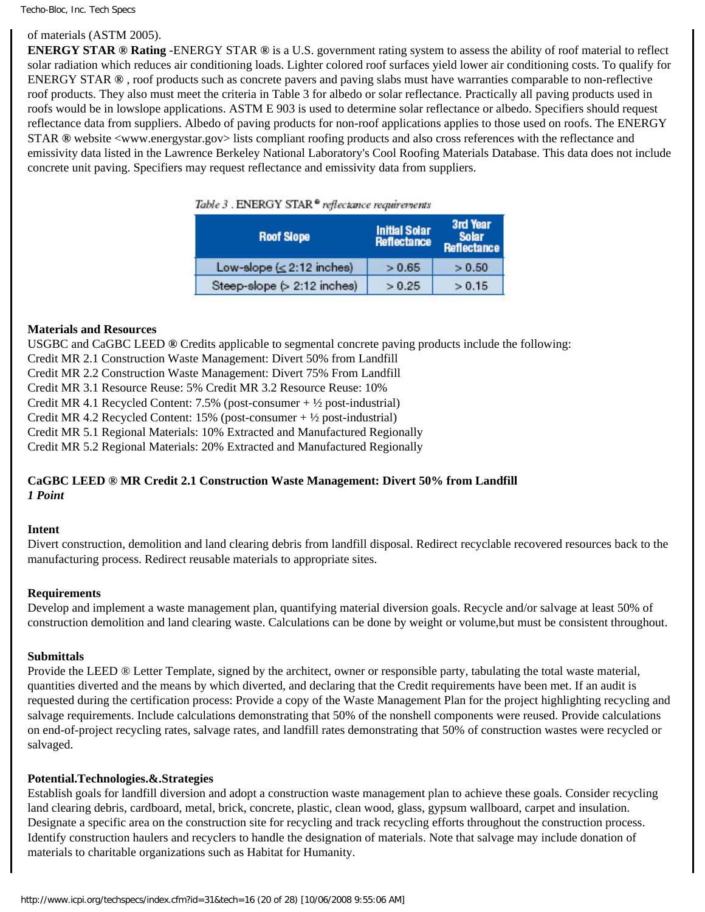#### of materials (ASTM 2005).

**ENERGY STAR ® Rating** -ENERGY STAR **®** is a U.S. government rating system to assess the ability of roof material to reflect solar radiation which reduces air conditioning loads. Lighter colored roof surfaces yield lower air conditioning costs. To qualify for ENERGY STAR **®** , roof products such as concrete pavers and paving slabs must have warranties comparable to non-reflective roof products. They also must meet the criteria in Table 3 for albedo or solar reflectance. Practically all paving products used in roofs would be in lowslope applications. ASTM E 903 is used to determine solar reflectance or albedo. Specifiers should request reflectance data from suppliers. Albedo of paving products for non-roof applications applies to those used on roofs. The ENERGY STAR **®** website <www.energystar.gov> lists compliant roofing products and also cross references with the reflectance and emissivity data listed in the Lawrence Berkeley National Laboratory's Cool Roofing Materials Database. This data does not include concrete unit paving. Specifiers may request reflectance and emissivity data from suppliers.

| Table 5. EINERO 1 STAK - reflectance requirements |  |
|---------------------------------------------------|--|
|                                                   |  |

| <b>Roof Slope</b>               | <b>Initial Solar</b><br>Reflectance | 3rd Year<br><b>Solar</b><br><b>Reflectance</b> |  |  |
|---------------------------------|-------------------------------------|------------------------------------------------|--|--|
| Low-slope $( \leq 2:12$ inches) | > 0.65                              | > 0.50                                         |  |  |
| Steep-slope $(>2:12$ inches)    | > 0.25                              | > 0.15                                         |  |  |

#### **Materials and Resources**

USGBC and CaGBC LEED **®** Credits applicable to segmental concrete paving products include the following:

Credit MR 2.1 Construction Waste Management: Divert 50% from Landfill

Credit MR 2.2 Construction Waste Management: Divert 75% From Landfill

Credit MR 3.1 Resource Reuse: 5% Credit MR 3.2 Resource Reuse: 10%

Credit MR 4.1 Recycled Content: 7.5% (post-consumer + ½ post-industrial)

Credit MR 4.2 Recycled Content:  $15\%$  (post-consumer +  $\frac{1}{2}$  post-industrial)

Credit MR 5.1 Regional Materials: 10% Extracted and Manufactured Regionally

Credit MR 5.2 Regional Materials: 20% Extracted and Manufactured Regionally

# **CaGBC LEED ® MR Credit 2.1 Construction Waste Management: Divert 50% from Landfill**  *1 Point*

#### **Intent**

Divert construction, demolition and land clearing debris from landfill disposal. Redirect recyclable recovered resources back to the manufacturing process. Redirect reusable materials to appropriate sites.

#### **Requirements**

Develop and implement a waste management plan, quantifying material diversion goals. Recycle and/or salvage at least 50% of construction demolition and land clearing waste. Calculations can be done by weight or volume,but must be consistent throughout.

#### **Submittals**

Provide the LEED ® Letter Template, signed by the architect, owner or responsible party, tabulating the total waste material, quantities diverted and the means by which diverted, and declaring that the Credit requirements have been met. If an audit is requested during the certification process: Provide a copy of the Waste Management Plan for the project highlighting recycling and salvage requirements. Include calculations demonstrating that 50% of the nonshell components were reused. Provide calculations on end-of-project recycling rates, salvage rates, and landfill rates demonstrating that 50% of construction wastes were recycled or salvaged.

#### **Potential.Technologies.&.Strategies**

Establish goals for landfill diversion and adopt a construction waste management plan to achieve these goals. Consider recycling land clearing debris, cardboard, metal, brick, concrete, plastic, clean wood, glass, gypsum wallboard, carpet and insulation. Designate a specific area on the construction site for recycling and track recycling efforts throughout the construction process. Identify construction haulers and recyclers to handle the designation of materials. Note that salvage may include donation of materials to charitable organizations such as Habitat for Humanity.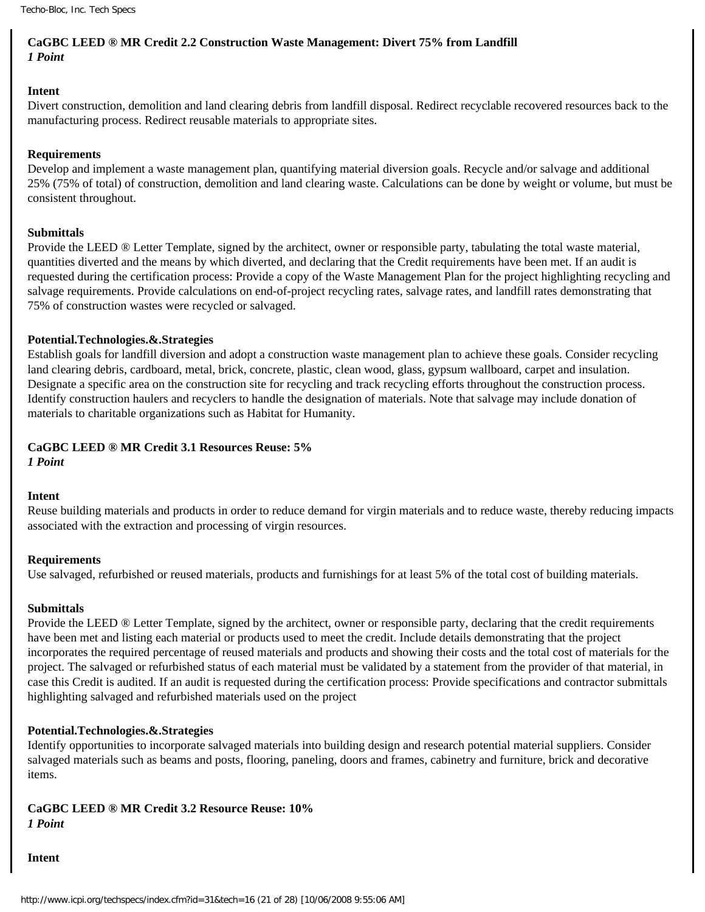# **CaGBC LEED ® MR Credit 2.2 Construction Waste Management: Divert 75% from Landfill** *1 Point*

#### **Intent**

Divert construction, demolition and land clearing debris from landfill disposal. Redirect recyclable recovered resources back to the manufacturing process. Redirect reusable materials to appropriate sites.

#### **Requirements**

Develop and implement a waste management plan, quantifying material diversion goals. Recycle and/or salvage and additional 25% (75% of total) of construction, demolition and land clearing waste. Calculations can be done by weight or volume, but must be consistent throughout.

#### **Submittals**

Provide the LEED ® Letter Template, signed by the architect, owner or responsible party, tabulating the total waste material, quantities diverted and the means by which diverted, and declaring that the Credit requirements have been met. If an audit is requested during the certification process: Provide a copy of the Waste Management Plan for the project highlighting recycling and salvage requirements. Provide calculations on end-of-project recycling rates, salvage rates, and landfill rates demonstrating that 75% of construction wastes were recycled or salvaged.

#### **Potential.Technologies.&.Strategies**

Establish goals for landfill diversion and adopt a construction waste management plan to achieve these goals. Consider recycling land clearing debris, cardboard, metal, brick, concrete, plastic, clean wood, glass, gypsum wallboard, carpet and insulation. Designate a specific area on the construction site for recycling and track recycling efforts throughout the construction process. Identify construction haulers and recyclers to handle the designation of materials. Note that salvage may include donation of materials to charitable organizations such as Habitat for Humanity.

# **CaGBC LEED ® MR Credit 3.1 Resources Reuse: 5%**

*1 Point*

#### **Intent**

Reuse building materials and products in order to reduce demand for virgin materials and to reduce waste, thereby reducing impacts associated with the extraction and processing of virgin resources.

#### **Requirements**

Use salvaged, refurbished or reused materials, products and furnishings for at least 5% of the total cost of building materials.

#### **Submittals**

Provide the LEED ® Letter Template, signed by the architect, owner or responsible party, declaring that the credit requirements have been met and listing each material or products used to meet the credit. Include details demonstrating that the project incorporates the required percentage of reused materials and products and showing their costs and the total cost of materials for the project. The salvaged or refurbished status of each material must be validated by a statement from the provider of that material, in case this Credit is audited. If an audit is requested during the certification process: Provide specifications and contractor submittals highlighting salvaged and refurbished materials used on the project

#### **Potential.Technologies.&.Strategies**

Identify opportunities to incorporate salvaged materials into building design and research potential material suppliers. Consider salvaged materials such as beams and posts, flooring, paneling, doors and frames, cabinetry and furniture, brick and decorative items.

#### **CaGBC LEED ® MR Credit 3.2 Resource Reuse: 10%** *1 Point*

**Intent**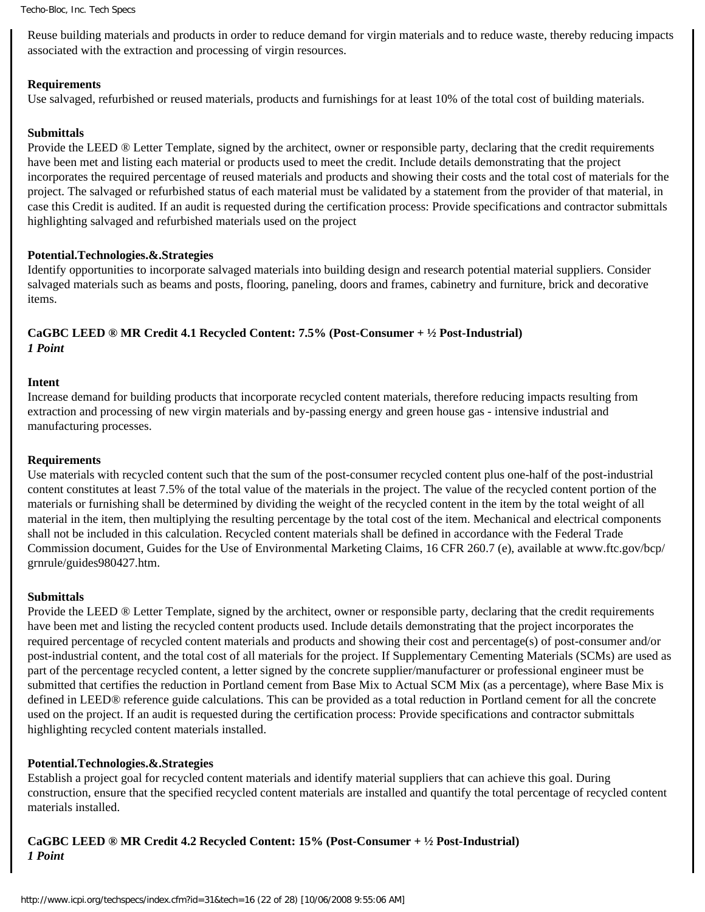Reuse building materials and products in order to reduce demand for virgin materials and to reduce waste, thereby reducing impacts associated with the extraction and processing of virgin resources.

#### **Requirements**

Use salvaged, refurbished or reused materials, products and furnishings for at least 10% of the total cost of building materials.

#### **Submittals**

Provide the LEED ® Letter Template, signed by the architect, owner or responsible party, declaring that the credit requirements have been met and listing each material or products used to meet the credit. Include details demonstrating that the project incorporates the required percentage of reused materials and products and showing their costs and the total cost of materials for the project. The salvaged or refurbished status of each material must be validated by a statement from the provider of that material, in case this Credit is audited. If an audit is requested during the certification process: Provide specifications and contractor submittals highlighting salvaged and refurbished materials used on the project

#### **Potential.Technologies.&.Strategies**

Identify opportunities to incorporate salvaged materials into building design and research potential material suppliers. Consider salvaged materials such as beams and posts, flooring, paneling, doors and frames, cabinetry and furniture, brick and decorative items.

#### **CaGBC LEED ® MR Credit 4.1 Recycled Content: 7.5% (Post-Consumer + ½ Post-Industrial)** *1 Point*

#### **Intent**

Increase demand for building products that incorporate recycled content materials, therefore reducing impacts resulting from extraction and processing of new virgin materials and by-passing energy and green house gas - intensive industrial and manufacturing processes.

#### **Requirements**

Use materials with recycled content such that the sum of the post-consumer recycled content plus one-half of the post-industrial content constitutes at least 7.5% of the total value of the materials in the project. The value of the recycled content portion of the materials or furnishing shall be determined by dividing the weight of the recycled content in the item by the total weight of all material in the item, then multiplying the resulting percentage by the total cost of the item. Mechanical and electrical components shall not be included in this calculation. Recycled content materials shall be defined in accordance with the Federal Trade Commission document, Guides for the Use of Environmental Marketing Claims, 16 CFR 260.7 (e), available at www.ftc.gov/bcp/ grnrule/guides980427.htm.

#### **Submittals**

Provide the LEED ® Letter Template, signed by the architect, owner or responsible party, declaring that the credit requirements have been met and listing the recycled content products used. Include details demonstrating that the project incorporates the required percentage of recycled content materials and products and showing their cost and percentage(s) of post-consumer and/or post-industrial content, and the total cost of all materials for the project. If Supplementary Cementing Materials (SCMs) are used as part of the percentage recycled content, a letter signed by the concrete supplier/manufacturer or professional engineer must be submitted that certifies the reduction in Portland cement from Base Mix to Actual SCM Mix (as a percentage), where Base Mix is defined in LEED*®* reference guide calculations. This can be provided as a total reduction in Portland cement for all the concrete used on the project. If an audit is requested during the certification process: Provide specifications and contractor submittals highlighting recycled content materials installed.

#### **Potential.Technologies.&.Strategies**

Establish a project goal for recycled content materials and identify material suppliers that can achieve this goal. During construction, ensure that the specified recycled content materials are installed and quantify the total percentage of recycled content materials installed.

# **CaGBC LEED ® MR Credit 4.2 Recycled Content: 15% (Post-Consumer + ½ Post-Industrial)** *1 Point*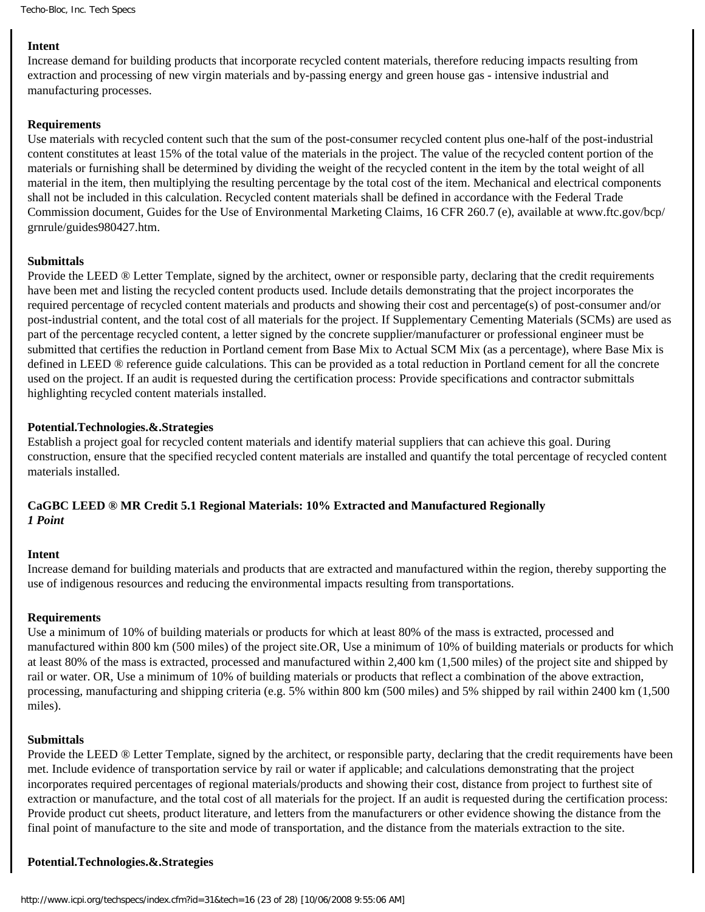#### **Intent**

Increase demand for building products that incorporate recycled content materials, therefore reducing impacts resulting from extraction and processing of new virgin materials and by-passing energy and green house gas - intensive industrial and manufacturing processes.

#### **Requirements**

Use materials with recycled content such that the sum of the post-consumer recycled content plus one-half of the post-industrial content constitutes at least 15% of the total value of the materials in the project. The value of the recycled content portion of the materials or furnishing shall be determined by dividing the weight of the recycled content in the item by the total weight of all material in the item, then multiplying the resulting percentage by the total cost of the item. Mechanical and electrical components shall not be included in this calculation. Recycled content materials shall be defined in accordance with the Federal Trade Commission document, Guides for the Use of Environmental Marketing Claims, 16 CFR 260.7 (e), available at www.ftc.gov/bcp/ grnrule/guides980427.htm.

#### **Submittals**

Provide the LEED ® Letter Template, signed by the architect, owner or responsible party, declaring that the credit requirements have been met and listing the recycled content products used. Include details demonstrating that the project incorporates the required percentage of recycled content materials and products and showing their cost and percentage(s) of post-consumer and/or post-industrial content, and the total cost of all materials for the project. If Supplementary Cementing Materials (SCMs) are used as part of the percentage recycled content, a letter signed by the concrete supplier/manufacturer or professional engineer must be submitted that certifies the reduction in Portland cement from Base Mix to Actual SCM Mix (as a percentage), where Base Mix is defined in LEED ® reference guide calculations. This can be provided as a total reduction in Portland cement for all the concrete used on the project. If an audit is requested during the certification process: Provide specifications and contractor submittals highlighting recycled content materials installed.

#### **Potential.Technologies.&.Strategies**

Establish a project goal for recycled content materials and identify material suppliers that can achieve this goal. During construction, ensure that the specified recycled content materials are installed and quantify the total percentage of recycled content materials installed.

#### **CaGBC LEED ® MR Credit 5.1 Regional Materials: 10% Extracted and Manufactured Regionally**  *1 Point*

#### **Intent**

Increase demand for building materials and products that are extracted and manufactured within the region, thereby supporting the use of indigenous resources and reducing the environmental impacts resulting from transportations.

#### **Requirements**

Use a minimum of 10% of building materials or products for which at least 80% of the mass is extracted, processed and manufactured within 800 km (500 miles) of the project site.OR, Use a minimum of 10% of building materials or products for which at least 80% of the mass is extracted, processed and manufactured within 2,400 km (1,500 miles) of the project site and shipped by rail or water. OR, Use a minimum of 10% of building materials or products that reflect a combination of the above extraction, processing, manufacturing and shipping criteria (e.g. 5% within 800 km (500 miles) and 5% shipped by rail within 2400 km (1,500 miles).

#### **Submittals**

Provide the LEED ® Letter Template, signed by the architect, or responsible party, declaring that the credit requirements have been met. Include evidence of transportation service by rail or water if applicable; and calculations demonstrating that the project incorporates required percentages of regional materials/products and showing their cost, distance from project to furthest site of extraction or manufacture, and the total cost of all materials for the project. If an audit is requested during the certification process: Provide product cut sheets, product literature, and letters from the manufacturers or other evidence showing the distance from the final point of manufacture to the site and mode of transportation, and the distance from the materials extraction to the site.

#### **Potential.Technologies.&.Strategies**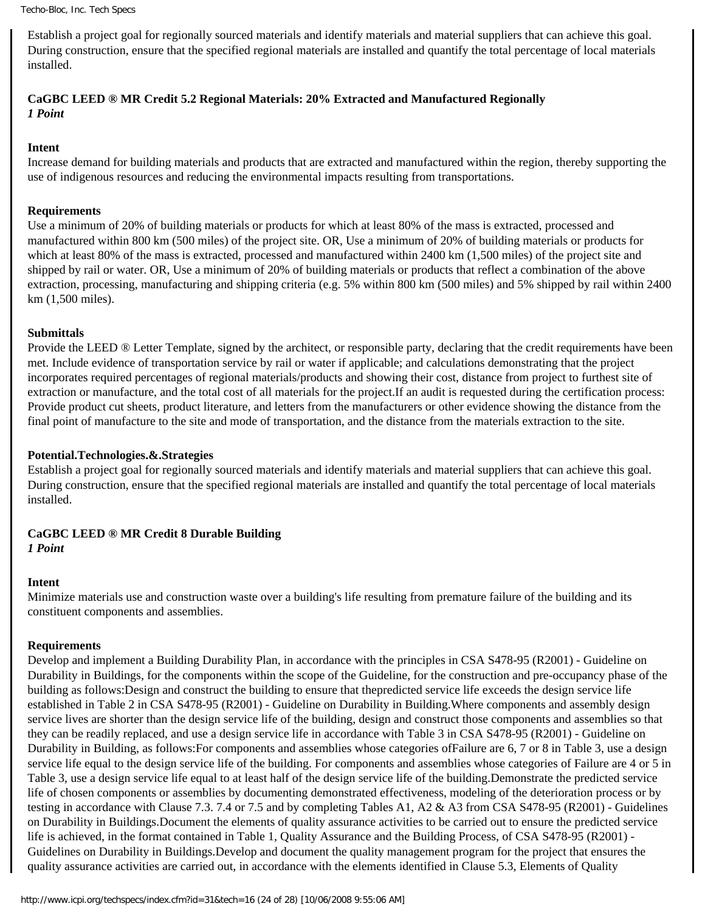Establish a project goal for regionally sourced materials and identify materials and material suppliers that can achieve this goal. During construction, ensure that the specified regional materials are installed and quantify the total percentage of local materials installed.

# **CaGBC LEED ® MR Credit 5.2 Regional Materials: 20% Extracted and Manufactured Regionally**  *1 Point*

#### **Intent**

Increase demand for building materials and products that are extracted and manufactured within the region, thereby supporting the use of indigenous resources and reducing the environmental impacts resulting from transportations.

#### **Requirements**

Use a minimum of 20% of building materials or products for which at least 80% of the mass is extracted, processed and manufactured within 800 km (500 miles) of the project site. OR, Use a minimum of 20% of building materials or products for which at least 80% of the mass is extracted, processed and manufactured within 2400 km (1,500 miles) of the project site and shipped by rail or water. OR, Use a minimum of 20% of building materials or products that reflect a combination of the above extraction, processing, manufacturing and shipping criteria (e.g. 5% within 800 km (500 miles) and 5% shipped by rail within 2400 km (1,500 miles).

#### **Submittals**

Provide the LEED ® Letter Template, signed by the architect, or responsible party, declaring that the credit requirements have been met. Include evidence of transportation service by rail or water if applicable; and calculations demonstrating that the project incorporates required percentages of regional materials/products and showing their cost, distance from project to furthest site of extraction or manufacture, and the total cost of all materials for the project.If an audit is requested during the certification process: Provide product cut sheets, product literature, and letters from the manufacturers or other evidence showing the distance from the final point of manufacture to the site and mode of transportation, and the distance from the materials extraction to the site.

#### **Potential.Technologies.&.Strategies**

Establish a project goal for regionally sourced materials and identify materials and material suppliers that can achieve this goal. During construction, ensure that the specified regional materials are installed and quantify the total percentage of local materials installed.

# **CaGBC LEED ® MR Credit 8 Durable Building**

#### *1 Point*

#### **Intent**

Minimize materials use and construction waste over a building's life resulting from premature failure of the building and its constituent components and assemblies.

#### **Requirements**

Develop and implement a Building Durability Plan, in accordance with the principles in CSA S478-95 (R2001) - Guideline on Durability in Buildings, for the components within the scope of the Guideline, for the construction and pre-occupancy phase of the building as follows:Design and construct the building to ensure that thepredicted service life exceeds the design service life established in Table 2 in CSA S478-95 (R2001) - Guideline on Durability in Building.Where components and assembly design service lives are shorter than the design service life of the building, design and construct those components and assemblies so that they can be readily replaced, and use a design service life in accordance with Table 3 in CSA S478-95 (R2001) - Guideline on Durability in Building, as follows:For components and assemblies whose categories ofFailure are 6, 7 or 8 in Table 3, use a design service life equal to the design service life of the building. For components and assemblies whose categories of Failure are 4 or 5 in Table 3, use a design service life equal to at least half of the design service life of the building.Demonstrate the predicted service life of chosen components or assemblies by documenting demonstrated effectiveness, modeling of the deterioration process or by testing in accordance with Clause 7.3. 7.4 or 7.5 and by completing Tables A1, A2 & A3 from CSA S478-95 (R2001) - Guidelines on Durability in Buildings.Document the elements of quality assurance activities to be carried out to ensure the predicted service life is achieved, in the format contained in Table 1, Quality Assurance and the Building Process, of CSA S478-95 (R2001) - Guidelines on Durability in Buildings.Develop and document the quality management program for the project that ensures the quality assurance activities are carried out, in accordance with the elements identified in Clause 5.3, Elements of Quality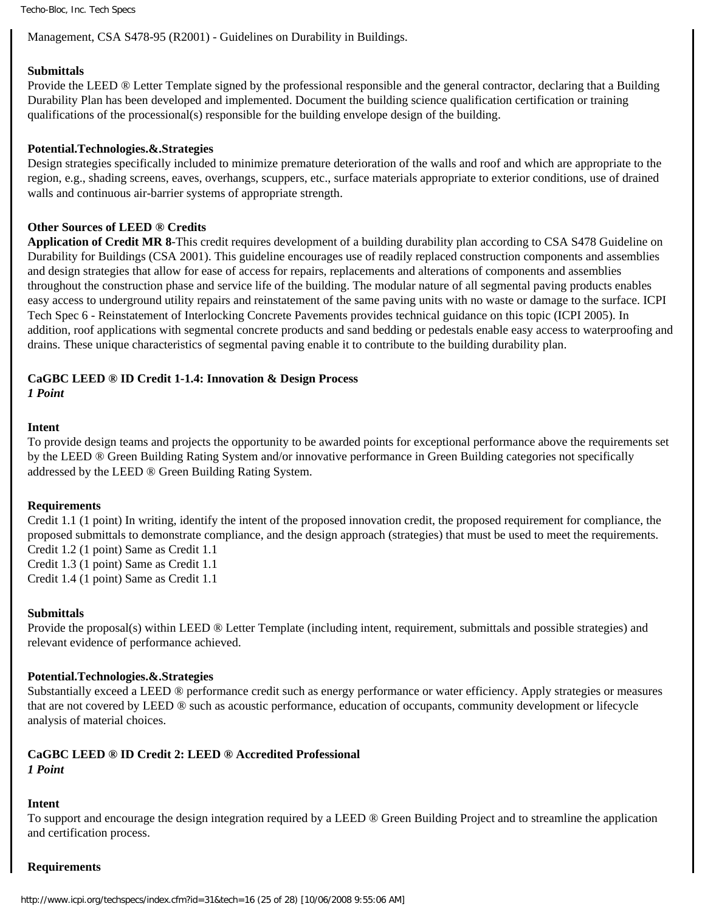Management, CSA S478-95 (R2001) - Guidelines on Durability in Buildings.

#### **Submittals**

Provide the LEED ® Letter Template signed by the professional responsible and the general contractor, declaring that a Building Durability Plan has been developed and implemented. Document the building science qualification certification or training qualifications of the processional(s) responsible for the building envelope design of the building.

#### **Potential.Technologies.&.Strategies**

Design strategies specifically included to minimize premature deterioration of the walls and roof and which are appropriate to the region, e.g., shading screens, eaves, overhangs, scuppers, etc., surface materials appropriate to exterior conditions, use of drained walls and continuous air-barrier systems of appropriate strength.

#### **Other Sources of LEED** *®* **Credits**

**Application of Credit MR 8**-This credit requires development of a building durability plan according to CSA S478 Guideline on Durability for Buildings (CSA 2001). This guideline encourages use of readily replaced construction components and assemblies and design strategies that allow for ease of access for repairs, replacements and alterations of components and assemblies throughout the construction phase and service life of the building. The modular nature of all segmental paving products enables easy access to underground utility repairs and reinstatement of the same paving units with no waste or damage to the surface. ICPI Tech Spec 6 - Reinstatement of Interlocking Concrete Pavements provides technical guidance on this topic (ICPI 2005). In addition, roof applications with segmental concrete products and sand bedding or pedestals enable easy access to waterproofing and drains. These unique characteristics of segmental paving enable it to contribute to the building durability plan.

#### **CaGBC LEED ® ID Credit 1-1.4: Innovation & Design Process**

*1 Point*

#### **Intent**

To provide design teams and projects the opportunity to be awarded points for exceptional performance above the requirements set by the LEED ® Green Building Rating System and/or innovative performance in Green Building categories not specifically addressed by the LEED ® Green Building Rating System.

#### **Requirements**

Credit 1.1 (1 point) In writing, identify the intent of the proposed innovation credit, the proposed requirement for compliance, the proposed submittals to demonstrate compliance, and the design approach (strategies) that must be used to meet the requirements. Credit 1.2 (1 point) Same as Credit 1.1

Credit 1.3 (1 point) Same as Credit 1.1 Credit 1.4 (1 point) Same as Credit 1.1

#### **Submittals**

Provide the proposal(s) within LEED ® Letter Template (including intent, requirement, submittals and possible strategies) and relevant evidence of performance achieved.

#### **Potential.Technologies.&.Strategies**

Substantially exceed a LEED ® performance credit such as energy performance or water efficiency. Apply strategies or measures that are not covered by LEED ® such as acoustic performance, education of occupants, community development or lifecycle analysis of material choices.

#### **CaGBC LEED ® ID Credit 2: LEED ® Accredited Professional**

*1 Point*

#### **Intent**

To support and encourage the design integration required by a LEED ® Green Building Project and to streamline the application and certification process.

#### **Requirements**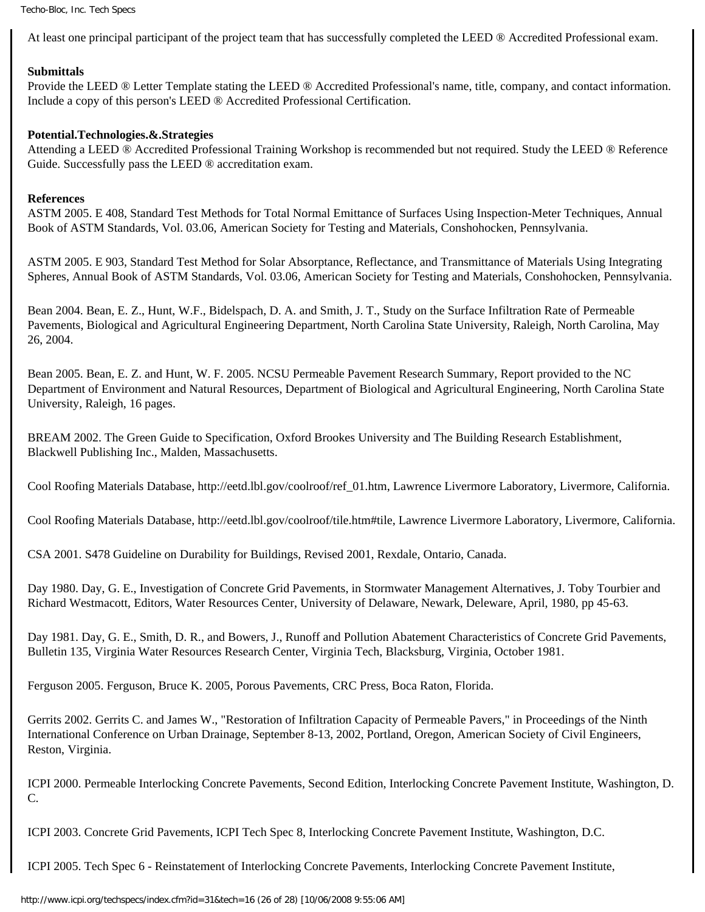At least one principal participant of the project team that has successfully completed the LEED ® Accredited Professional exam.

# **Submittals**

Provide the LEED ® Letter Template stating the LEED ® Accredited Professional's name, title, company, and contact information. Include a copy of this person's LEED ® Accredited Professional Certification.

# **Potential.Technologies.&.Strategies**

Attending a LEED ® Accredited Professional Training Workshop is recommended but not required. Study the LEED ® Reference Guide. Successfully pass the LEED ® accreditation exam.

# **References**

ASTM 2005. E 408, Standard Test Methods for Total Normal Emittance of Surfaces Using Inspection-Meter Techniques, Annual Book of ASTM Standards, Vol. 03.06, American Society for Testing and Materials, Conshohocken, Pennsylvania.

ASTM 2005. E 903, Standard Test Method for Solar Absorptance, Reflectance, and Transmittance of Materials Using Integrating Spheres, Annual Book of ASTM Standards, Vol. 03.06, American Society for Testing and Materials, Conshohocken, Pennsylvania.

Bean 2004. Bean, E. Z., Hunt, W.F., Bidelspach, D. A. and Smith, J. T., Study on the Surface Infiltration Rate of Permeable Pavements, Biological and Agricultural Engineering Department, North Carolina State University, Raleigh, North Carolina, May 26, 2004.

Bean 2005. Bean, E. Z. and Hunt, W. F. 2005. NCSU Permeable Pavement Research Summary, Report provided to the NC Department of Environment and Natural Resources, Department of Biological and Agricultural Engineering, North Carolina State University, Raleigh, 16 pages.

BREAM 2002. The Green Guide to Specification, Oxford Brookes University and The Building Research Establishment, Blackwell Publishing Inc., Malden, Massachusetts.

Cool Roofing Materials Database, http://eetd.lbl.gov/coolroof/ref\_01.htm, Lawrence Livermore Laboratory, Livermore, California.

Cool Roofing Materials Database, http://eetd.lbl.gov/coolroof/tile.htm#tile, Lawrence Livermore Laboratory, Livermore, California.

CSA 2001. S478 Guideline on Durability for Buildings, Revised 2001, Rexdale, Ontario, Canada.

Day 1980. Day, G. E., Investigation of Concrete Grid Pavements, in Stormwater Management Alternatives, J. Toby Tourbier and Richard Westmacott, Editors, Water Resources Center, University of Delaware, Newark, Deleware, April, 1980, pp 45-63.

Day 1981. Day, G. E., Smith, D. R., and Bowers, J., Runoff and Pollution Abatement Characteristics of Concrete Grid Pavements, Bulletin 135, Virginia Water Resources Research Center, Virginia Tech, Blacksburg, Virginia, October 1981.

Ferguson 2005. Ferguson, Bruce K. 2005, Porous Pavements, CRC Press, Boca Raton, Florida.

Gerrits 2002. Gerrits C. and James W., "Restoration of Infiltration Capacity of Permeable Pavers," in Proceedings of the Ninth International Conference on Urban Drainage, September 8-13, 2002, Portland, Oregon, American Society of Civil Engineers, Reston, Virginia.

ICPI 2000. Permeable Interlocking Concrete Pavements, Second Edition, Interlocking Concrete Pavement Institute, Washington, D. C.

ICPI 2003. Concrete Grid Pavements, ICPI Tech Spec 8, Interlocking Concrete Pavement Institute, Washington, D.C.

ICPI 2005. Tech Spec 6 - Reinstatement of Interlocking Concrete Pavements, Interlocking Concrete Pavement Institute,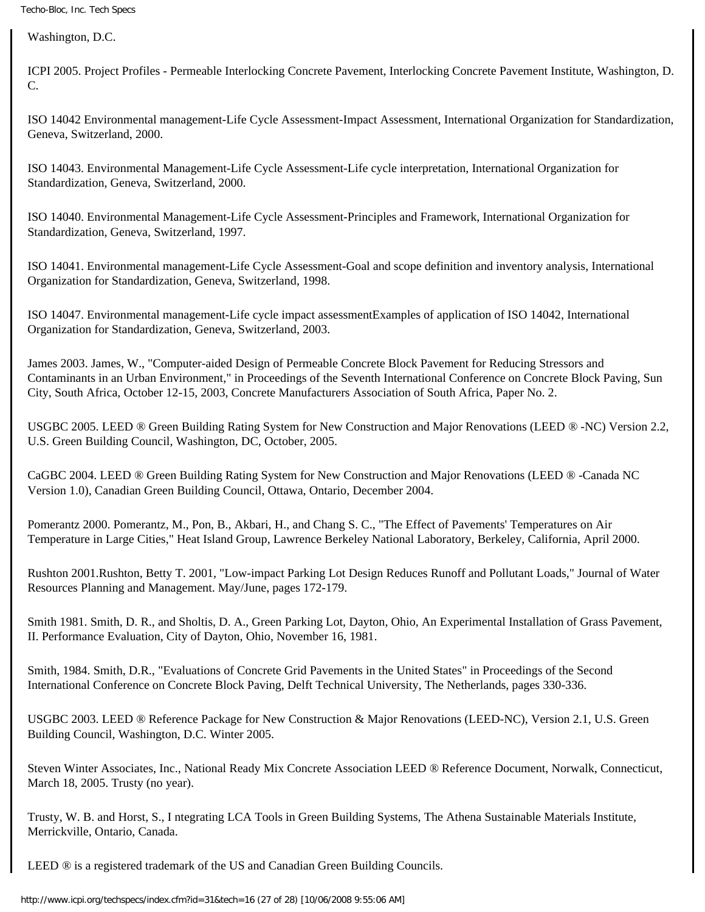Washington, D.C.

ICPI 2005. Project Profiles - Permeable Interlocking Concrete Pavement, Interlocking Concrete Pavement Institute, Washington, D. C.

ISO 14042 Environmental management-Life Cycle Assessment-Impact Assessment, International Organization for Standardization, Geneva, Switzerland, 2000.

ISO 14043. Environmental Management-Life Cycle Assessment-Life cycle interpretation, International Organization for Standardization, Geneva, Switzerland, 2000.

ISO 14040. Environmental Management-Life Cycle Assessment-Principles and Framework, International Organization for Standardization, Geneva, Switzerland, 1997.

ISO 14041. Environmental management-Life Cycle Assessment-Goal and scope definition and inventory analysis, International Organization for Standardization, Geneva, Switzerland, 1998.

ISO 14047. Environmental management-Life cycle impact assessmentExamples of application of ISO 14042, International Organization for Standardization, Geneva, Switzerland, 2003.

James 2003. James, W., "Computer-aided Design of Permeable Concrete Block Pavement for Reducing Stressors and Contaminants in an Urban Environment," in Proceedings of the Seventh International Conference on Concrete Block Paving, Sun City, South Africa, October 12-15, 2003, Concrete Manufacturers Association of South Africa, Paper No. 2.

USGBC 2005. LEED *®* Green Building Rating System for New Construction and Major Renovations (LEED *®* -NC) Version 2.2, U.S. Green Building Council, Washington, DC, October, 2005.

CaGBC 2004. LEED *®* Green Building Rating System for New Construction and Major Renovations (LEED *®* -Canada NC Version 1.0), Canadian Green Building Council, Ottawa, Ontario, December 2004.

Pomerantz 2000. Pomerantz, M., Pon, B., Akbari, H., and Chang S. C., "The Effect of Pavements' Temperatures on Air Temperature in Large Cities," Heat Island Group, Lawrence Berkeley National Laboratory, Berkeley, California, April 2000.

Rushton 2001.Rushton, Betty T. 2001, "Low-impact Parking Lot Design Reduces Runoff and Pollutant Loads," Journal of Water Resources Planning and Management. May/June, pages 172-179.

Smith 1981. Smith, D. R., and Sholtis, D. A., Green Parking Lot, Dayton, Ohio, An Experimental Installation of Grass Pavement, II. Performance Evaluation, City of Dayton, Ohio, November 16, 1981.

Smith, 1984. Smith, D.R., "Evaluations of Concrete Grid Pavements in the United States" in Proceedings of the Second International Conference on Concrete Block Paving, Delft Technical University, The Netherlands, pages 330-336.

USGBC 2003. LEED *®* Reference Package for New Construction & Major Renovations (LEED-NC), Version 2.1, U.S. Green Building Council, Washington, D.C. Winter 2005.

Steven Winter Associates, Inc., National Ready Mix Concrete Association LEED *®* Reference Document, Norwalk, Connecticut, March 18, 2005. Trusty (no year).

Trusty, W. B. and Horst, S., I ntegrating LCA Tools in Green Building Systems, The Athena Sustainable Materials Institute, Merrickville, Ontario, Canada.

LEED *®* is a registered trademark of the US and Canadian Green Building Councils.